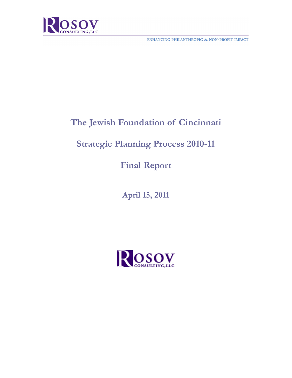

ENHANCING PHILANTHROPIC & NON-PROFIT IMPACT

# **The Jewish Foundation of Cincinnati**

## **Strategic Planning Process 2010-11**

**Final Report** 

**April 15, 2011** 

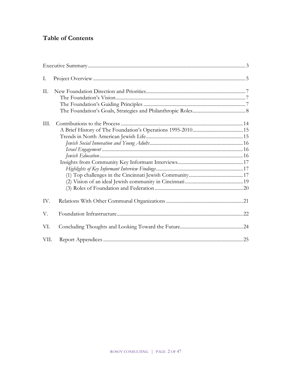## **Table of Contents**

| Ι.   |  |
|------|--|
| II.  |  |
|      |  |
|      |  |
|      |  |
| III. |  |
|      |  |
|      |  |
|      |  |
|      |  |
|      |  |
|      |  |
|      |  |
|      |  |
|      |  |
|      |  |
| IV.  |  |
| V.   |  |
| VI.  |  |
| VII. |  |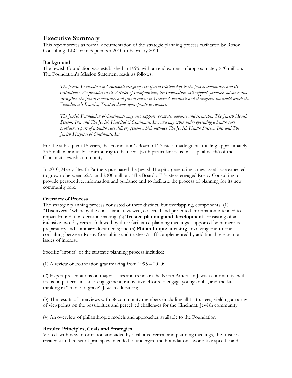### **Executive Summary**

This report serves as formal documentation of the strategic planning process facilitated by Rosov Consulting, LLC from September 2010 to February 2011.

### **Background**

The Jewish Foundation was established in 1995, with an endowment of approximately \$70 million. The Foundation's Mission Statement reads as follows:

*The Jewish Foundation of Cincinnati recognizes its special relationship to the Jewish community and its institutions. As provided in its Articles of Incorporation, the Foundation will support, promote, advance and strengthen the Jewish community and Jewish causes in Greater Cincinnati and throughout the world which the Foundation's Board of Trustees deems appropriate to support.* 

*The Jewish Foundation of Cincinnati may also support, promote, advance and strengthen The Jewish Health System, Inc. and The Jewish Hospital of Cincinnati, Inc. and any other entity operating a health care provider as part of a health care delivery system which includes The Jewish Health System, Inc. and The Jewish Hospital of Cincinnati, Inc.* 

For the subsequent 15 years, the Foundation's Board of Trustees made grants totaling approximately \$3.5 million annually, contributing to the needs (with particular focus on capital needs) of the Cincinnati Jewish community.

In 2010, Mercy Health Partners purchased the Jewish Hospital generating a new asset base expected to grow to between \$275 and \$300 million. The Board of Trustees engaged Rosov Consulting to provide perspective, information and guidance and to facilitate the process of planning for its new community role.

### **Overview of Process**

The strategic planning process consisted of three distinct, but overlapping, components: (1) "**Discovery**," whereby the consultants reviewed, collected and presented information intended to impact Foundation decision-making; (2) **Trustee planning and development**, consisting of an intensive two-day retreat followed by three facilitated planning meetings, supported by numerous preparatory and summary documents; and (3) **Philanthropic advising**, involving one-to-one consulting between Rosov Consulting and trustees/staff complemented by additional research on issues of interest.

Specific "inputs" of the strategic planning process included:

(1) A review of Foundation grantmaking from 1995 – 2010;

(2) Expert presentations on major issues and trends in the North American Jewish community, with focus on patterns in Israel engagement, innovative efforts to engage young adults, and the latest thinking in "cradle-to-grave" Jewish education;

(3) The results of interviews with 58 community members (including all 11 trustees) yielding an array of viewpoints on the possibilities and perceived challenges for the Cincinnati Jewish community;

(4) An overview of philanthropic models and approaches available to the Foundation

### **Results: Principles, Goals and Strategies**

Vested with new information and aided by facilitated retreat and planning meetings, the trustees created a unified set of principles intended to undergird the Foundation's work; five specific and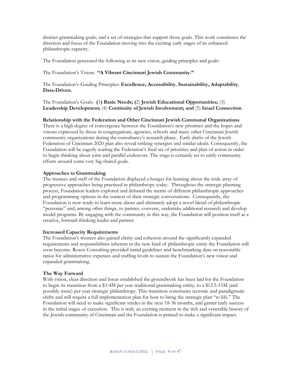distinct grantmaking goals; and a set of strategies that support those goals. This work constitutes the direction and focus of the Foundation moving into the exciting early stages of its enhanced philanthropic capacity.

The Foundation generated the following as its new vision, guiding principles and goals:

The Foundation's Vision: **"A Vibrant Cincinnati Jewish Community."**

The Foundation's Guiding Principles: **Excellence, Accessibility**, **Sustainability, Adaptability**, **Data-Driven.**

The Foundation's Goals: **(**1**) Basic Needs; (**2) **Jewish Educational Opportunities;** (3) **Leadership Development;** (4) **Continuity of Jewish Involvement; and** (5) **Israel Connection**.

**Relationship with the Federation and Other Cincinnati Jewish Communal Organizations** 

There is a high degree of convergence between the Foundation's new priorities and the hopes and visions expressed by those in congregations, agencies, schools and many other Cincinnati Jewish community organizations during the consultancy's research phase. Early drafts of the Jewish Federation of Cincinnati 2020 plan also reveal striking synergies and similar ideals. Consequently, the Foundation will be eagerly waiting the Federation's final set of priorities and plan of action in order to begin thinking about joint and parallel endeavors. The stage is certainly set to unify community efforts around some very big shared goals.

### **Approaches to Grantmaking**

The trustees and staff of the Foundation displayed a hunger for learning about the wide array of progressive approaches being practiced in philanthropy today. Throughout the strategic planning process, Foundation leaders explored and debated the merits of different philanthropic approaches and programming options in the context of their strategic conversations. Consequently, the Foundation is now ready to learn more about and ultimately adopt a novel blend of philanthropic "personae" and, among other things, to partner, convene, undertake additional research and develop model programs. By engaging with the community in this way, the Foundation will position itself as a creative, forward-thinking leader and partner.

### **Increased Capacity Requirements**

The Foundation's trustees also gained clarity and cohesion around the significantly expanded requirements and responsibilities inherent in the new kind of philanthropic entity the Foundation will soon become. Rosov Consulting provided initial guidelines and benchmarking data on reasonable ratios for administrative expenses and staffing levels to sustain the Foundation's new vision and expanded grantmaking.

### **The Way Forward**

With vision, clear direction and focus established the groundwork has been laid for the Foundation to begin its transition from a \$3-4M per year traditional grantmaking entity, to a \$12.5-15M (and possibly more) per year strategic philanthropy. This transition constitutes tectonic and paradigmatic shifts and will require a full implementation plan for how to bring the strategic plan "to life." The Foundation will need to make significant strides in the next 18-36 months, and garner early success in the initial stages of execution. This is truly an exciting moment in the rich and venerable history of the Jewish community of Cincinnati and the Foundation is primed to make a significant impact.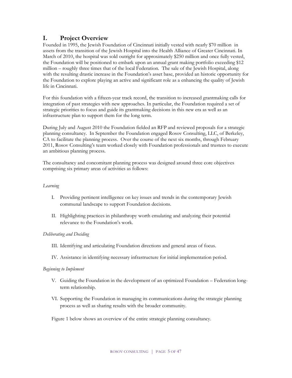### **I. Project Overview**

Founded in 1995, the Jewish Foundation of Cincinnati initially vested with nearly \$70 million in assets from the transition of the Jewish Hospital into the Health Alliance of Greater Cincinnati. In March of 2010, the hospital was sold outright for approximately \$250 million and once fully vested, the Foundation will be positioned to embark upon an annual grant making portfolio exceeding \$12 million – roughly three times that of the local Federation. The sale of the Jewish Hospital, along with the resulting drastic increase in the Foundation's asset base, provided an historic opportunity for the Foundation to explore playing an active and significant role as a enhancing the quality of Jewish life in Cincinnati.

For this foundation with a fifteen-year track record, the transition to increased grantmaking calls for integration of past strategies with new approaches. In particular, the Foundation required a set of strategic priorities to focus and guide its grantmaking decisions in this new era as well as an infrastructure plan to support them for the long term.

During July and August 2010 the Foundation fielded an RFP and reviewed proposals for a strategic planning consultancy. In September the Foundation engaged Rosov Consulting, LLC, of Berkeley, CA to facilitate the planning process. Over the course of the next six months, through February 2011, Rosov Consulting's team worked closely with Foundation professionals and trustees to execute an ambitious planning process.

The consultancy and concomitant planning process was designed around three core objectives comprising six primary areas of activities as follows:

### *Learning*

- I. Providing pertinent intelligence on key issues and trends in the contemporary Jewish communal landscape to support Foundation decisions.
- II. Highlighting practices in philanthropy worth emulating and analyzing their potential relevance to the Foundation's work.

### *Deliberating and Deciding*

- III. Identifying and articulating Foundation directions and general areas of focus.
- IV. Assistance in identifying necessary infrastructure for initial implementation period.

### *Beginning to Implement*

- V. Guiding the Foundation in the development of an optimized Foundation Federation longterm relationship.
- VI. Supporting the Foundation in managing its communications during the strategic planning process as well as sharing results with the broader community.

Figure 1 below shows an overview of the entire strategic planning consultancy.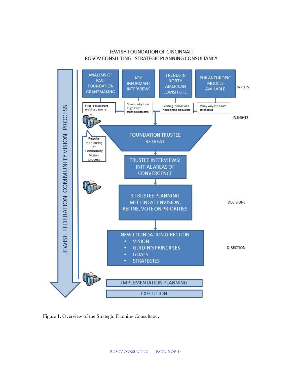### JEWISH FOUNDATION OF CINCINNATI ROSOV CONSULTING - STRATEGIC PLANNING CONSULTANCY



Figure 1: Overview of the Strategic Planning Consultancy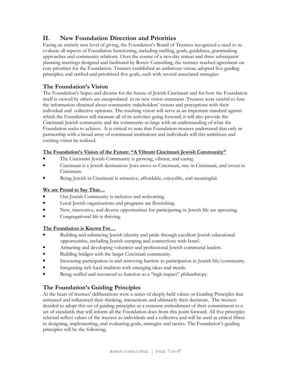### **II. New Foundation Direction and Priorities**

Facing an entirely new level of giving, the Foundation's Board of Trustees recognized a need to reevaluate all aspects of Foundation functioning, including staffing, goals, guidelines, grantmaking approaches and community relations. Over the course of a two-day retreat and three subsequent planning meetings designed and facilitated by Rosov Consulting, the trustees reached agreement on core priorities for the Foundation. Trustees established an ambitious vision; adopted five guiding principles; and ratified and prioritized five goals, each with several associated strategies.

### **The Foundation's Vision**

The Foundation's hopes and dreams for the future of Jewish Cincinnati and for how the Foundation itself is viewed by others are encapsulated in its new vision statement. Trustees were careful to fuse the information obtained about community stakeholders' visions and perceptions with their individual and collective opinions. The resulting vision will serve as an important standard against which the Foundation will measure all of its activities going forward; it will also provide the Cincinnati Jewish community and the community-at-large with an understanding of what the Foundation seeks to achieve. It is critical to note that Foundation trustees understand that only in partnership with a broad array of communal institutions and individuals will this ambitious and exciting vision be realized.

### **The Foundation's Vision of the Future: "A Vibrant Cincinnati Jewish Community"**

- The Cincinnati Jewish Community is growing, vibrant, and caring.
- Cincinnati is a Jewish destination: Jews move to Cincinnati, stay in Cincinnati, and invest in Cincinnati.
- Being Jewish in Cincinnati is attractive, affordable, enjoyable, and meaningful.

### **We are Proud to Say That…**

- Our Jewish Community is inclusive and welcoming.
- Local Jewish organizations and programs are flourishing.
- New, innovative, and diverse opportunities for participating in Jewish life are sprouting.
- Congregational life is thriving.

### **The Foundation is Known For…**

- Building and enhancing Jewish identity and pride through excellent Jewish educational opportunities, including Jewish camping and connections with Israel.
- Attracting and developing volunteer and professional Jewish communal leaders.
- Building bridges with the larger Cincinnati community.
- Increasing participation in and removing barriers to participation in Jewish life/community.
- Integrating rich local tradition with emerging ideas and trends.
- Being staffed and resourced to function as a "high impact" philanthropy.

### **The Foundation's Guiding Principles**

At the heart of trustees' deliberations were a series of deeply-held values or Guiding Principles that animated and influenced their thinking, interactions and ultimately their decisions. The trustees decided to adopt this set of guiding principles as a concrete embodiment of their commitment to a set of standards that will inform all the Foundation does from this point forward. All five principles selected reflect values of the trustees as individuals and a collective and will be used as critical filters in designing, implementing, and evaluating goals, strategies and tactics. The Foundation's guiding principles will be the following: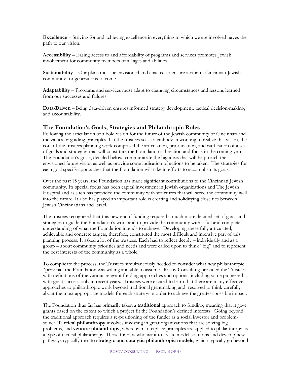**Excellence** – Striving for and achieving excellence in everything in which we are involved paves the path to our vision.

**Accessibility** – Easing access to and affordability of programs and services promotes Jewish involvement for community members of all ages and abilities.

**Sustainability** – Our plans must be envisioned and enacted to ensure a vibrant Cincinnati Jewish community for generations to come.

**Adaptability** – Programs and services must adapt to changing circumstances and lessons learned from our successes and failures.

**Data-Driven** – Being data-driven ensures informed strategy development, tactical decision-making, and accountability.

### **The Foundation's Goals, Strategies and Philanthropic Roles**

Following the articulation of a bold vision for the future of the Jewish community of Cincinnati and the values or guiding principles that the trustees seek to embody in working to realize this vision, the core of the trustees planning work comprised the articulation, prioritization, and ratification of a set of goals and strategies that will constitute the Foundation's direction and focus in the coming years. The Foundation's goals, detailed below, communicate the big ideas that will help reach the envisioned future vision as well as provide some indication of actions to be taken. The strategies for each goal specify approaches that the Foundation will take in efforts to accomplish its goals.

Over the past 15 years, the Foundation has made significant contributions to the Cincinnati Jewish community. Its special focus has been capital investment in Jewish organizations and The Jewish Hospital and as such has provided the community with structures that will serve the community well into the future. It also has played an important role is creating and solidifying close ties between Jewish Cincinnatians and Israel.

The trustees recognized that this new era of funding required a much more detailed set of goals and strategies to guide the Foundation's work and to provide the community with a full and complete understanding of what the Foundation intends to achieve. Developing these fully articulated, achievable and concrete targets, therefore, constituted the most difficult and intensive part of this planning process. It asked a lot of the trustees: Each had to reflect deeply – individually and as a group – about community priorities and needs and were called upon to think "big" and to represent the best interests of the community as a whole.

To complicate the process, the Trustees simultaneously needed to consider what new philanthropic "persona" the Foundation was willing and able to assume. Rosov Consulting provided the Trustees with definitions of the various relevant funding approaches and options, including some pioneered with great success only in recent years. Trustees were excited to learn that there are many effective approaches to philanthropic work beyond traditional grantmaking and resolved to think carefully about the most appropriate models for each strategy in order to achieve the greatest possible impact.

The Foundation thus far has primarily taken a **traditional** approach to funding, meaning that it gave grants based on the extent to which a project fit the Foundation's defined interests. Going beyond the traditional approach requires a re-positioning of the funder as a social investor and problemsolver. **Tactical philanthropy** involves investing in great organizations that are solving big problems, and **venture philanthropy**, whereby marketplace principles are applied to philanthropy, is a type of tactical philanthropy. Those funders who want to create model solutions and develop new pathways typically turn to **strategic and catalytic philanthropic models***,* which typically go beyond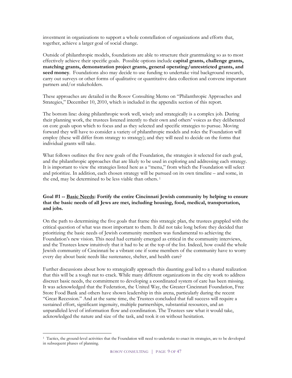investment in organizations to support a whole constellation of organizations and efforts that, together, achieve a larger goal of social change.

Outside of philanthropic models, foundations are able to structure their grantmaking so as to most effectively achieve their specific goals. Possible options include **capital grants, challenge grants, matching grants, demonstration project grants, general operating/unrestricted grants, and seed money***.* Foundations also may decide to use funding to undertake vital background research, carry out surveys or other forms of qualitative or quantitative data collection and convene important partners and/or stakeholders.

These approaches are detailed in the Rosov Consulting Memo on "Philanthropic Approaches and Strategies," December 10, 2010, which is included in the appendix section of this report.

The bottom line: doing philanthropic work well, wisely and strategically is a complex job. During their planning work, the trustees listened intently to their own and others' voices as they deliberated on core goals upon which to focus and as they selected and specific strategies to pursue. Moving forward they will have to consider a variety of philanthropic models and roles the Foundation will employ (these will differ from strategy to strategy); and they will need to decide on the forms that individual grants will take.

What follows outlines the five new goals of the Foundation, the strategies it selected for each goal, and the philanthropic approaches that are likely to be used in exploring and addressing each strategy. It is important to view the strategies listed here as a "menu," from which the Foundation will select and prioritize. In addition, each chosen strategy will be pursued on its own timeline – and some, in the end, may be determined to be less viable than others.<sup>1</sup>

### **Goal #1 -- Basic Needs: Fortify the entire Cincinnati Jewish community by helping to ensure that the basic needs of all Jews are met, including housing, food, medical, transportation, and jobs.**

On the path to determining the five goals that frame this strategic plan, the trustees grappled with the critical question of what was most important to them. It did not take long before they decided that prioritizing the basic needs of Jewish community members was fundamental to achieving the Foundation's new vision. This need had certainly emerged as critical in the community interviews, and the Trustees knew intuitively that it had to be at the top of the list. Indeed, how could the whole Jewish community of Cincinnati be a vibrant one if some members of the community have to worry every day about basic needs like sustenance, shelter, and health care?

Further discussions about how to strategically approach this daunting goal led to a shared realization that this will be a tough nut to crack. While many different organizations in the city work to address discreet basic needs, the commitment to developing a coordinated system of care has been missing. It was acknowledged that the Federation, the United Way, the Greater Cincinnati Foundation, Free Store Food Bank and others have shown leadership in this arena, particularly during the recent "Great Recession." And at the same time, the Trustees concluded that full success will require a sustained effort, significant ingenuity, multiple partnerships, substantial resources, and an unparalleled level of information flow and coordination. The Trustees saw what it would take, acknowledged the nature and size of the task, and took it on without hesitation.

 $\overline{a}$ 

<sup>1</sup> Tactics, the ground-level activities that the Foundation will need to undertake to enact its strategies, are to be developed in subsequent phases of planning.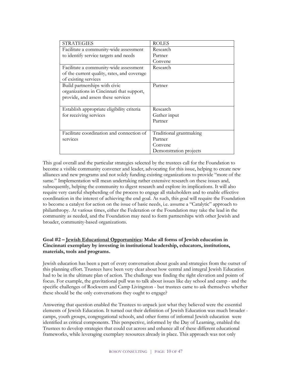| <b>STRATEGIES</b>                           | <b>ROLES</b>            |
|---------------------------------------------|-------------------------|
| Facilitate a community-wide assessment      | Research                |
| to identify service targets and needs       | Partner                 |
|                                             | Convene                 |
| Facilitate a community-wide assessment      | Research                |
| of the current quality, rates, and coverage |                         |
| of existing services                        |                         |
| Build partnerships with civic               | Partner                 |
| organizations in Cincinnati that support,   |                         |
| provide, and assess these services          |                         |
|                                             |                         |
| Establish appropriate eligibility criteria  | Research                |
| for receiving services                      | Gather input            |
|                                             | Partner                 |
|                                             |                         |
| Facilitate coordination and connection of   | Traditional grantmaking |
| services                                    | Partner                 |
|                                             | Convene                 |
|                                             | Demonstration projects  |

This goal overall and the particular strategies selected by the trustees call for the Foundation to become a visible community convener and leader, advocating for this issue, helping to create new alliances and new programs and not solely funding existing organizations to provide "more of the same." Implementation will mean undertaking rather extensive research on these issues and, subsequently, helping the community to digest research and explore its implications. It will also require very careful shepherding of the process to engage all stakeholders and to enable effective coordination in the interest of achieving the end goal. As such, this goal will require the Foundation to become a catalyst for action on the issue of basic needs, i.e. assume a "Catalytic" approach to philanthropy. At various times, either the Federation or the Foundation may take the lead in the community as needed, and the Foundation may need to form partnerships with other Jewish and broader, community-based organizations.

### **Goal #2 – Jewish Educational Opportunities: Make all forms of Jewish education in Cincinnati exemplary by investing in institutional leadership, educators, institutions, materials, tools and programs.**

Jewish education has been a part of every conversation about goals and strategies from the outset of this planning effort. Trustees have been very clear about how central and integral Jewish Education had to be in the ultimate plan of action. The challenge was finding the right elevation and points of focus. For example, the gravitational pull was to talk about issues like day school and camp - and the specific challenges of Rockwern and Camp Livingston - but trustees came to ask themselves whether these should be the only conversations they ought to engage?

Answering that question enabled the Trustees to unpack just what they believed were the essential elements of Jewish Education. It turned out their definition of Jewish Education was much broader camps, youth groups, congregational schools, and other forms of informal Jewish education were identified as critical components. This perspective, informed by the Day of Learning, enabled the Trustees to develop strategies that could cut across and enhance all of these different educational frameworks, while leveraging exemplary resources already in place. This approach was not only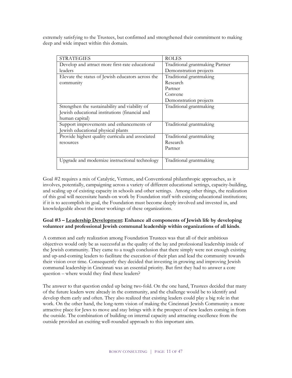extremely satisfying to the Trustees, but confirmed and strengthened their commitment to making deep and wide impact within this domain.

| <b>STRATEGIES</b>                                 | <b>ROLES</b>                    |
|---------------------------------------------------|---------------------------------|
| Develop and attract more first-rate educational   | Traditional grantmaking Partner |
| leaders                                           | Demonstration projects          |
| Elevate the status of Jewish educators across the | Traditional grantmaking         |
| community                                         | Research                        |
|                                                   | Partner                         |
|                                                   | Convene                         |
|                                                   | Demonstration projects          |
| Strengthen the sustainability and viability of    | Traditional grantmaking         |
| Jewish educational institutions (financial and    |                                 |
| human capital)                                    |                                 |
| Support improvements and enhancements of          | Traditional grantmaking         |
| Jewish educational physical plants                |                                 |
| Provide highest quality curricula and associated  | Traditional grantmaking         |
| resources                                         | Research                        |
|                                                   | Partner                         |
|                                                   |                                 |
| Upgrade and modernize instructional technology    | Traditional grantmaking         |
|                                                   |                                 |

Goal #2 requires a mix of Catalytic, Venture, and Conventional philanthropic approaches, as it involves, potentially, campaigning across a variety of different educational settings, capacity-building, and scaling up of existing capacity in schools and other settings. Among other things, the realization of this goal will necessitate hands-on work by Foundation staff with existing educational institutions; if it is to accomplish its goal, the Foundation must become deeply involved and invested in, and knowledgeable about the inner workings of these organizations.

### **Goal #3 – Leadership Development: Enhance all components of Jewish life by developing volunteer and professional Jewish communal leadership within organizations of all kinds**.

A common and early realization among Foundation Trustees was that all of their ambitious objectives would only be as successful as the quality of the lay and professional leadership inside of the Jewish community. They came to a tough conclusion that there simply were not enough existing and up-and-coming leaders to facilitate the execution of their plan and lead the community towards their vision over time. Consequently they decided that investing in growing and improving Jewish communal leadership in Cincinnati was an essential priority. But first they had to answer a core question – where would they find these leaders?

The answer to that question ended up being two-fold. On the one hand, Trustees decided that many of the future leaders were already in the community, and the challenge would be to identify and develop them early and often. They also realized that existing leaders could play a big role in that work. On the other hand, the long-term vision of making the Cincinnati Jewish Community a more attractive place for Jews to move and stay brings with it the prospect of new leaders coming in from the outside. The combination of building on internal capacity and attracting excellence from the outside provided an exciting well-rounded approach to this important aim.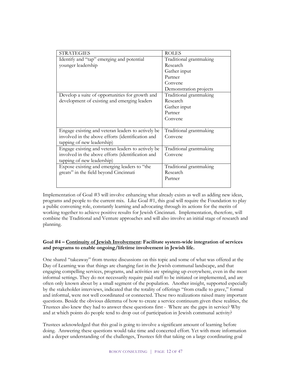| <b>STRATEGIES</b>                                  | <b>ROLES</b>            |
|----------------------------------------------------|-------------------------|
| Identify and "tap" emerging and potential          | Traditional grantmaking |
| younger leadership                                 | Research                |
|                                                    | Gather input            |
|                                                    | Partner                 |
|                                                    | Convene                 |
|                                                    | Demonstration projects  |
| Develop a suite of opportunities for growth and    | Traditional grantmaking |
| development of existing and emerging leaders       | Research                |
|                                                    | Gather input            |
|                                                    | Partner                 |
|                                                    | Convene                 |
|                                                    |                         |
| Engage existing and veteran leaders to actively be | Traditional grantmaking |
| involved in the above efforts (identification and  | Convene                 |
| tapping of new leadership)                         |                         |
| Engage existing and veteran leaders to actively be | Traditional grantmaking |
| involved in the above efforts (identification and  | Convene                 |
| tapping of new leadership)                         |                         |
| Expose existing and emerging leaders to "the       | Traditional grantmaking |
| greats" in the field beyond Cincinnati             | Research                |
|                                                    | Partner                 |
|                                                    |                         |

Implementation of Goal #3 will involve enhancing what already exists as well as adding new ideas, programs and people to the current mix. Like Goal #1, this goal will require the Foundation to play a public convening role, constantly learning and advocating through its actions for the merits of working together to achieve positive results for Jewish Cincinnati. Implementation, therefore, will combine the Traditional and Venture approaches and will also involve an initial stage of research and planning.

### **Goal #4 – Continuity of Jewish Involvement: Facilitate system-wide integration of services and programs to enable ongoing/lifetime involvement in Jewish life.**

One shared "takeaway" from trustee discussions on this topic and some of what was offered at the Day of Learning was that things are changing fast in the Jewish communal landscape, and that engaging compelling services, programs, and activities are springing up everywhere, even in the most informal settings. They do not necessarily require paid staff to be initiated or implemented, and are often only known about by a small segment of the population. Another insight, supported especially by the stakeholder interviews, indicated that the totality of offerings "from cradle to grave," formal and informal, were not well coordinated or connected. These two realizations raised many important questions. Beside the obvious dilemma of how to create a service continuum given these realities, the Trustees also knew they had to answer these questions first - Where are the gaps in service? Why and at which points do people tend to drop out of participation in Jewish communal activity?

Trustees acknowledged that this goal is going to involve a significant amount of learning before doing. Answering these questions would take time and concerted effort. Yet with more information and a deeper understanding of the challenges, Trustees felt that taking on a large coordinating goal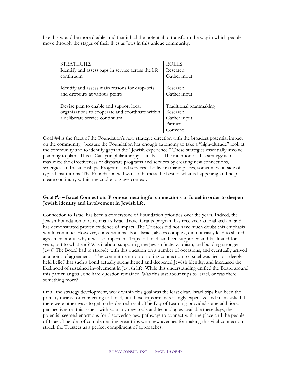like this would be more doable, and that it had the potential to transform the way in which people move through the stages of their lives as Jews in this unique community.

| <b>STRATEGIES</b>                                   | <b>ROLES</b>            |
|-----------------------------------------------------|-------------------------|
| Identify and assess gaps in service across the life | Research                |
| continuum                                           | Gather input            |
|                                                     |                         |
| Identify and assess main reasons for drop-offs      | Research                |
| and dropouts at various points                      | Gather input            |
|                                                     |                         |
| Devise plan to enable and support local             | Traditional grantmaking |
| organizations to cooperate and coordinate within    | Research                |
| a deliberate service continuum                      | Gather input            |
|                                                     | Partner                 |
|                                                     | Convene                 |

Goal #4 is the facet of the Foundation's new strategic direction with the broadest potential impact on the community, because the Foundation has enough autonomy to take a "high-altitude" look at the community and to identify gaps in the "Jewish experience." These strategies essentially involve planning to plan. This is Catalytic philanthropy at its best. The intention of this strategy is to maximize the effectiveness of disparate programs and services by creating new connections, synergies, and relationships. Programs and services also live in many places, sometimes outside of typical institutions. The Foundation will want to harness the best of what is happening and help create continuity within the cradle to grave context.

### **Goal #5 – Israel Connection: Promote meaningful connections to Israel in order to deepen Jewish identity and involvement in Jewish life.**

Connection to Israel has been a cornerstone of Foundation priorities over the years. Indeed, the Jewish Foundation of Cincinnati's Israel Travel Grants program has received national acclaim and has demonstrated proven evidence of impact. The Trustees did not have much doubt this emphasis would continue. However, conversations about Israel, always complex, did not easily lead to shared agreement about why it was so important. Trips to Israel had been supported and facilitated for years, but to what end? Was it about supporting the Jewish State, Zionism, and building stronger Jews? The Board had to struggle with this question on a number of occasions, and eventually arrived at a point of agreement – The commitment to promoting connection to Israel was tied to a deeply held belief that such a bond actually strengthened and deepened Jewish identity, and increased the likelihood of sustained involvement in Jewish life. While this understanding unified the Board around this particular goal, one hard question remained: Was this just about trips to Israel, or was there something more?

Of all the strategy development, work within this goal was the least clear. Israel trips had been the primary means for connecting to Israel, but those trips are increasingly expensive and many asked if there were other ways to get to the desired result. The Day of Learning provided some additional perspectives on this issue – with so many new tools and technologies available these days, the potential seemed enormous for discovering new pathways to connect with the place and the people of Israel. The idea of complementing great trips with new avenues for making this vital connection struck the Trustees as a perfect compliment of approaches.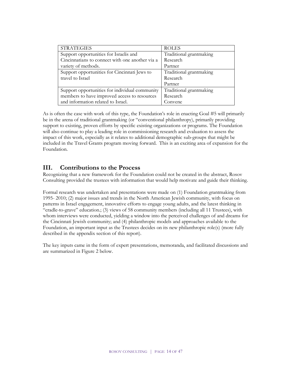| <b>STRATEGIES</b>                               | <b>ROLES</b>            |
|-------------------------------------------------|-------------------------|
| Support opportunities for Israelis and          | Traditional grantmaking |
| Cincinnatians to connect with one another via a | Research                |
| variety of methods.                             | Partner                 |
| Support opportunities for Cincinnati Jews to    | Traditional grantmaking |
| travel to Israel                                | Research                |
|                                                 | Partner                 |
| Support opportunities for individual community  | Traditional grantmaking |
| members to have improved access to resources    | Research                |
| and information related to Israel.              | Convene                 |

As is often the case with work of this type, the Foundation's role in enacting Goal #5 will primarily be in the arena of traditional grantmaking (or "conventional philanthropy), primarily providing support to existing, proven efforts by specific existing organizations or programs. The Foundation will also continue to play a leading role in commissioning research and evaluation to assess the impact of this work, especially as it relates to additional demographic sub-groups that might be included in the Travel Grants program moving forward. This is an exciting area of expansion for the Foundation.

### **III. Contributions to the Process**

Recognizing that a new framework for the Foundation could not be created in the abstract, Rosov Consulting provided the trustees with information that would help motivate and guide their thinking.

Formal research was undertaken and presentations were made on (1) Foundation grantmaking from 1995- 2010; (2) major issues and trends in the North American Jewish community, with focus on patterns in Israel engagement, innovative efforts to engage young adults, and the latest thinking in "cradle-to-grave" education.; (3) views of 58 community members (including all 11 Trustees), with whom interviews were conducted, yielding a window into the perceived challenges of and dreams for the Cincinnati Jewish community; and (4) philanthropic models and approaches available to the Foundation, an important input as the Trustees decides on its new philanthropic role(s) (more fully described in the appendix section of this report).

The key inputs came in the form of expert presentations, memoranda, and facilitated discussions and are summarized in Figure 2 below.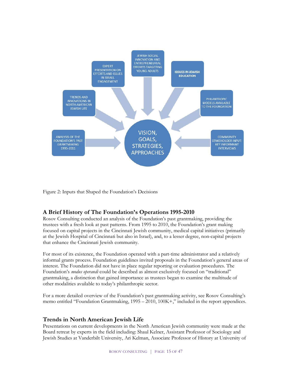

Figure 2: Inputs that Shaped the Foundation's Decisions

### **A Brief History of The Foundation's Operations 1995-2010**

Rosov Consulting conducted an analysis of the Foundation's past grantmaking, providing the trustees with a fresh look at past patterns. From 1995 to 2010, the Foundation's grant making focused on capital projects in the Cincinnati Jewish community, medical capital initiatives (primarily at the Jewish Hospital of Cincinnati but also in Israel), and, to a lesser degree, non-capital projects that enhance the Cincinnati Jewish community.

For most of its existence, the Foundation operated with a part-time administrator and a relatively informal grants process. Foundation guidelines invited proposals in the Foundation's general areas of interest. The Foundation did not have in place regular reporting or evaluation procedures. The Foundation's *modus operandi* could be described as almost exclusively focused on "traditional" grantmaking, a distinction that gained importance as trustees began to examine the multitude of other modalities available to today's philanthropic sector.

For a more detailed overview of the Foundation's past grantmaking activity, see Rosov Consulting's memo entitled "Foundation Grantmaking, 1995 – 2010, 100K+," included in the report appendices.

### **Trends in North American Jewish Life**

Presentations on current developments in the North American Jewish community were made at the Board retreat by experts in the field including: Shaul Kelner, Assistant Professor of Sociology and Jewish Studies at Vanderbilt University, Ari Kelman, Associate Professor of History at University of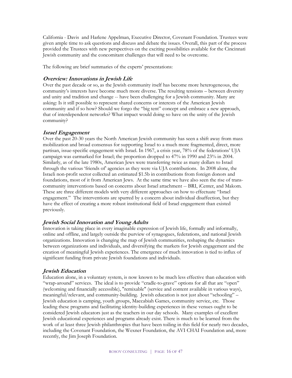California - Davis and Harlene Appelman, Executive Director, Covenant Foundation. Trustees were given ample time to ask questions and discuss and debate the issues. Overall, this part of the process provided the Trustees with new perspectives on the exciting possibilities available for the Cincinnati Jewish community and the concomitant challenges that will need to be overcome.

The following are brief summaries of the experts' presentations:

### **Overview: Innovations in Jewish Life**

Over the past decade or so, as the Jewish community itself has become more heterogeneous, the community's interests have become much more diverse. The resulting tensions – between diversity and unity and tradition and change -- have been challenging for a Jewish community. Many are asking: Is it still possible to represent shared concerns or interests of the American Jewish community and if so how? Should we forgo the "big tent" concept and embrace a new approach, that of interdependent networks? What impact would doing so have on the unity of the Jewish community?

### **Israel Engagement**

Over the past 20-30 years the North American Jewish community has seen a shift away from mass mobilization and broad consensus for supporting Israel to a much more fragmented, direct, more partisan, issue-specific engagement with Israel. In 1967, a crisis year, 78% of the federations' UJA campaign was earmarked for Israel; the proportion dropped to 47% in 1990 and 23% in 2004. Similarly, as of the late 1980s, American Jews were transferring twice as many dollars to Israel through the various 'friends of' agencies as they were via UJA contributions. In 2008 alone, the Israeli non-profit sector collected an estimated \$1.5b in contributions from foreign donors and foundations, most of it from American Jews. At the same time we have also seen the rise of transcommunity interventions based on concerns about Israel attachment -- BRI, iCenter, and Makom. These are three different models with very different approaches on how to effectuate "Israel engagement." The interventions are spurred by a concern about individual disaffection, but they have the effect of creating a more robust institutional field of Israel engagement than existed previously.

### **Jewish Social Innovation and Young Adults**

Innovation is taking place in every imaginable expression of Jewish life, formally and informally, online and offline, and largely outside the purview of synagogues, federations, and national Jewish organizations. Innovation is changing the map of Jewish communities, reshaping the dynamics between organizations and individuals, and diversifying the markets for Jewish engagement and the creation of meaningful Jewish experiences. The emergence of much innovation is tied to influx of significant funding from private Jewish foundations and individuals.

### **Jewish Education**

Education alone, in a voluntary system, is now known to be much less effective than education with "wrap-around" services. The ideal is to provide "cradle-to-grave" options for all that are "open" (welcoming and financially accessible), "remixable" (service and content available in various ways), meaningful/relevant, and community-building. Jewish education is not just about "schooling" – Jewish education is camping, youth groups, Maccabiah Games, community service, etc. Those leading these programs and facilitating identity-building experiences in these venues ought to be considered Jewish educators just as the teachers in our day schools. Many examples of excellent Jewish educational experiences and programs already exist. There is much to be learned from the work of at least three Jewish philanthropies that have been toiling in this field for nearly two decades, including the Covenant Foundation, the Wexner Foundation, the AVI CHAI Foundation and, more recently, the Jim Joseph Foundation.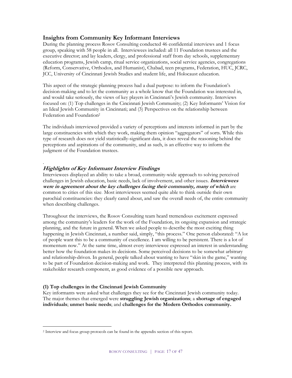### **Insights from Community Key Informant Interviews**

During the planning process Rosov Consulting conducted 46 confidential interviews and 1 focus group, speaking with 58 people in all. Interviewees included: all 11 Foundation trustees and the executive director; and lay leaders, clergy, and professional staff from day schools, supplementary education programs, Jewish camp, ritual service organizations, social service agencies, congregations (Reform, Conservative, Orthodox, and Humanist), Chabad, teen programs, Federation, HUC, JCRC, JCC, University of Cincinnati Jewish Studies and student life, and Holocaust education.

This aspect of the strategic planning process had a dual purpose: to inform the Foundation's decision-making and to let the community as a whole know that the Foundation was interested in, and would take seriously, the views of key players in Cincinnati's Jewish community. Interviews focused on: (1) Top challenges in the Cincinnati Jewish Community; (2) Key Informants' Vision for an Ideal Jewish Community in Cincinnati; and (3) Perspectives on the relationship between Federation and Foundation<sup>2</sup>

The individuals interviewed provided a variety of perceptions and interests informed in part by the large constituencies with which they work, making them opinion "aggregators" of sorts. While this type of research does not yield statistically-significant data, it does reveal the reasoning behind the perceptions and aspirations of the community, and as such, is an effective way to inform the judgment of the Foundation trustees.

### . **Highlights of Key Informant Interview Findings**

Interviewees displayed an ability to take a broad, community-wide approach to solving perceived challenges in Jewish education, basic needs, lack of involvement, and other issues. **Interviewees were in agreement about the key challenges facing their community, many of which** are common to cities of this size. Most interviewees seemed quite able to think outside their own parochial constituencies: they clearly cared about, and saw the overall needs of, the entire community when describing challenges.

Throughout the interviews, the Rosov Consulting team heard tremendous excitement expressed among the community's leaders for the work of the Foundation, its ongoing expansion and strategic planning, and the future in general. When we asked people to describe the most exciting thing happening in Jewish Cincinnati, a number said, simply, "this process." One person elaborated: "A lot of people want this to be a community of excellence. I am willing to be persistent. There is a lot of momentum now." At the same time, almost every interviewee expressed an interest in understanding better how the foundation makes its decisions. Some perceived decisions to be somewhat arbitrary and relationship-driven. In general, people talked about wanting to have "skin in the game," wanting to be part of Foundation decision-making and work. They interpreted this planning process, with its stakeholder research component, as good evidence of a possible new approach.

### **(1) Top challenges in the Cincinnati Jewish Community**

 $\overline{a}$ 

Key informants were asked what challenges they see for the Cincinnati Jewish community today. The major themes that emerged were **struggling Jewish organizations**; a **shortage of engaged individuals**; **unmet basic needs**; and **challenges for the Modern Orthodox community.**

<sup>2</sup> Interview and focus group protocols can be found in the appendix section of this report.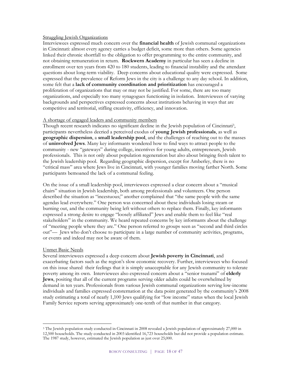### Struggling Jewish Organizations

Interviewees expressed much concern over the **financial health** of Jewish communal organizations in Cincinnati: almost every agency carries a budget deficit, some more than others. Some agencies linked their chronic shortfall to the obligation to offer programming to the entire community, and not obtaining remuneration in return. **Rockwern Academy** in particular has seen a decline in enrollment over ten years from 420 to 180 students, leading to financial instability and the attendant questions about long-term viability. Deep concerns about educational quality were expressed. Some expressed that the prevalence of Reform Jews in the city is a challenge to any day school. In addition, some felt that a **lack of community coordination and prioritization** has encouraged a proliferation of organizations that may or may not be justified. For some, there are too many organizations, and especially too many synagogues functioning in isolation. Interviewees of varying backgrounds and perspectives expressed concerns about institutions behaving in ways that are competitive and territorial, stifling creativity, efficiency, and innovation.

#### A shortage of engaged leaders and community members

Though recent research indicates no significant decline in the Jewish population of Cincinnati3, participants nevertheless decried a perceived exodus of **young Jewish professionals**, as well as **geographic dispersion**, a **small leadership pool**, and the challenges of reaching out to the masses of **uninvolved Jews**. Many key informants wondered how to find ways to attract people to the community - new "gateways" during college, incentives for young adults, entrepreneurs, Jewish professionals. This is not only about population regeneration but also about bringing fresh talent to the Jewish leadership pool. Regarding geographic dispersion, except for Amberley, there is no "critical mass" area where Jews live in Cincinnati, with younger families moving farther North. Some participants bemoaned the lack of a communal feeling.

On the issue of a small leadership pool, interviewees expressed a clear concern about a "musical chairs" situation in Jewish leadership, both among professionals and volunteers. One person described the situation as "incestuous;" another complained that "the same people with the same agendas lead everywhere." One person was concerned about these individuals losing steam or burning out, and the community being left without others to replace them. Finally, key informants expressed a strong desire to engage "loosely affiliated" Jews and enable them to feel like "real stakeholders" in the community. We heard repeated concerns by key informants about the challenge of "meeting people where they are." One person referred to groups seen as "second and third circles out"— Jews who don't choose to participate in a large number of community activities, programs, or events and indeed may not be aware of them.

### Unmet Basic Needs

 $\overline{a}$ 

Several interviewees expressed a deep concern about **Jewish poverty in Cincinnati**, and exacerbating factors such as the region's slow economic recovery. Further, interviewees who focused on this issue shared their feelings that it is simply unacceptable for any Jewish community to tolerate poverty among its own. Interviewees also expressed concern about a "senior tsunami" of **elderly Jews**, positing that all of the current programs serving older adults could be overwhelmed by demand in ten years. Professionals from various Jewish communal organizations serving low-income individuals and families expressed consternation at the data point generated by the community's 2008 study estimating a total of nearly 1,100 Jews qualifying for "low income" status when the local Jewish Family Service reports serving approximately one-tenth of that number in that category.

<sup>3</sup> The Jewish population study conducted in Cincinnati in 2008 revealed a Jewish population of approximately 27,000 in 12,500 households. The study conducted in 2003 identified 16,723 households but did not provide a population estimate. The 1987 study, however, estimated the Jewish population as just over 25,000.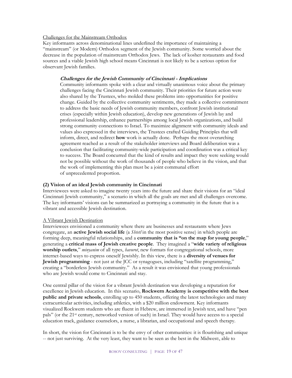### Challenges for the Mainstream Orthodox

Key informants across denominational lines underlined the importance of maintaining a "mainstream" (or Modern) Orthodox segment of the Jewish community. Some worried about the decrease in the population of mainstream Orthodox Jews. The lack of kosher restaurants and food sources and a viable Jewish high school means Cincinnati is not likely to be a serious option for observant Jewish families.

### **Challenges for the Jewish Community of Cincinnati - Implications**

Community informants spoke with a clear and virtually unanimous voice about the primary challenges facing the Cincinnati Jewish community. Their priorities for future action were also shared by the Trustees, who molded these problems into opportunities for positive change. Guided by the collective community sentiments, they made a collective commitment to address the basic needs of Jewish community members, confront Jewish institutional crises (especially within Jewish education), develop new generations of Jewish lay and professional leadership, enhance partnerships among local Jewish organizations, and build strong community connections to Israel. To maximize alignment with community ideals and values also expressed in the interviews, the Trustees crafted Guiding Principles that will inform, direct, and redirect **how** work is actually done. Perhaps the most overarching agreement reached as a result of the stakeholder interviews and Board deliberation was a conclusion that facilitating community-wide participation and coordination was a critical key to success. The Board concurred that the kind of results and impact they were seeking would not be possible without the work of thousands of people who believe in the vision, and that the work of implementing this plan must be a joint communal effort of unprecedented proportion.

### **(2) Vision of an ideal Jewish community in Cincinnati**

Interviewees were asked to imagine twenty years into the future and share their visions for an "ideal Cincinnati Jewish community," a scenario in which all the goals are met and all challenges overcome. The key informants' visions can be summarized as portraying a community in the future that is a vibrant and accessible Jewish destination.

### A Vibrant Jewish Destination

Interviewees envisioned a community where there are businesses and restaurants where Jews congregate, an **active Jewish social life** (a *Shtetl* in the most positive sense) in which people are forming deep, meaningful relationships, and a **community that is "on the map for young people**," generating a **critical mass of Jewish creative people**. They imagined a "**wide variety of religious worship outlets**," *minyanim* of all types, *havurot*, new formats for congregational schools, more internet-based ways to express oneself Jewishly. In this view, there is a **diversity of venues for Jewish programming** - not just at the JCC or synagogues, including "satellite programming," creating a "borderless Jewish community." As a result it was envisioned that young professionals who are Jewish would come to Cincinnati and stay.

One central pillar of the vision for a vibrant Jewish destination was developing a reputation for excellence in Jewish education. In this scenario, **Rockwern Academy is competitive with the best public and private schools**, enrolling up to 450 students, offering the latest technologies and many extracurricular activities, including athletics, with a \$20 million endowment. Key informants visualized Rockwern students who are fluent in Hebrew, are immersed in Jewish text, and have "pen pals" (or the 21st century, networked version of such) in Israel. They would have access to a special education track, guidance counselors, a nurse, a librarian, and occupational and speech therapy.

In short, the vision for Cincinnati is to be the envy of other communities: it is flourishing and unique -- not just surviving. At the very least, they want to be seen as the best in the Midwest:, able to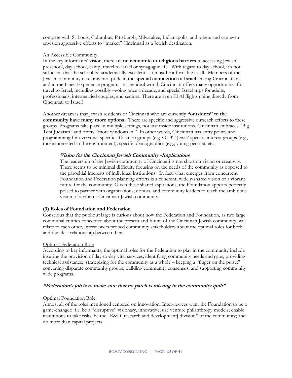compete with St Louis, Columbus, Pittsburgh, Milwaukee, Indianapolis, and others and can even envision aggressive efforts to "market" Cincinnati as a Jewish destination.

#### An Accessible Community

In the key informants' vision, there are **no economic or religious barriers** to accessing Jewish preschool, day school, camp, travel to Israel or synagogue life. With regard to day school, it's not sufficient that the school be academically excellent – it must be affordable to all. Members of the Jewish community take universal pride in the **special connection to Israel** among Cincinnatians, and in the Israel Experience program. In the ideal world, Cincinnati offers many opportunities for travel to Israel, including possibly –going once a decade, and special Israel trips for adults, professionals, intermarried couples, and seniors. There are even El Al flights going directly from Cincinnati to Israel!

Another dream is that Jewish residents of Cincinnati who are currently **"outsiders" to the community have many more options.** There are specific and aggressive outreach efforts to these groups. Programs take place in multiple settings, not just inside institutions. Cincinnati embraces "Big Tent Judaism" and offers "more windows in." In other words, Cincinnati has entry points and programming for everyone: specific affiliation groups (e.g. GLBT Jews)' specific interest groups (e.g., those interested in the environment); specific demographics (e.g., young people), etc.

#### **Vision for the Cincinnati Jewish Community -Implications**

The leadership of the Jewish community of Cincinnati is not short on vision or creativity. There seems to be minimal difficulty focusing on the needs of the community as opposed to the parochial interests of individual institutions. In fact, what emerges from concurrent Foundation and Federation planning efforts is a coherent, widely-shared vision of a vibrant future for the community. Given these shared aspirations, the Foundation appears perfectly poised to partner with organizations, donors, and community leaders to reach the ambitious vision of a vibrant Cincinnati Jewish community.

### **(3) Roles of Foundation and Federation**

Conscious that the public at large is curious about how the Federation and Foundation, as two large communal entities concerned about the present and future of the Cincinnati Jewish community, will relate to each other, interviewers probed community stakeholders about the optimal roles for both and the ideal relationship between them.

#### Optimal Federation Role

According to key informants, the optimal roles for the Federation to play in the community include insuring the provision of day-to-day vital services; identifying community needs and gaps; providing technical assistance; strategizing for the community as a whole – keeping a "finger on the pulse;" convening disparate community groups; building community consensus; and supporting community wide programs.

### **"Federation's job is to make sure that no patch is missing in the community quilt"**

#### Optimal Foundation Role

Almost all of the roles mentioned centered on innovation. Interviewees want the Foundation to be a game-changer: i.e. be a "disruptive" visionary, innovative, use venture philanthropy models; enable institutions to take risks; be the "R&D [research and development] division" of the community; and do more than capital projects.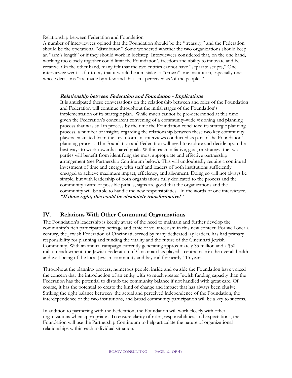### Relationship between Federation and Foundation

A number of interviewees opined that the Foundation should be the "treasury," and the Federation should be the operational "distributor." Some wondered whether the two organizations should keep an "arm's length" or if they should work in lockstep. Interviewees considered that, on the one hand, working too closely together could limit the Foundation's freedom and ability to innovate and be creative. On the other hand, many felt that the two entities cannot have "separate scripts," One interviewee went as far to say that it would be a mistake to "crown" one institution, especially one whose decisions "are made by a few and that isn't perceived as 'of the people."

#### **Relationship between Federation and Foundation - Implications**

It is anticipated these conversations on the relationship between and roles of the Foundation and Federation will continue throughout the initial stages of the Foundation's implementation of its strategic plan. While much cannot be pre-determined at this time given the Federation's concurrent convening of a community-wide visioning and planning process that was still in process by the time the Foundation concluded its strategic planning process, a number of insights regarding the relationship between these two key community players emanated from the key informant interviews conducted as part of the Foundation's planning process. The Foundation and Federation will need to explore and decide upon the best ways to work towards shared goals. Within each initiative, goal, or strategy, the two parties will benefit from identifying the most appropriate and effective partnership arrangement (see Partnership Continuum below). This will undoubtedly require a continued investment of time and energy, with staff and leaders of both institutions sufficiently engaged to achieve maximum impact, efficiency, and alignment. Doing so will not always be simple, but with leadership of both organizations fully dedicated to the process and the community aware of possible pitfalls, signs are good that the organizations and the community will be able to handle the new responsibilities. In the words of one interviewee, **"If done right, this could be absolutely transformative!"** 

### **IV. Relations With Other Communal Organizations**

The Foundation's leadership is keenly aware of the need to maintain and further develop the community's rich participatory heritage and ethic of volunteerism in this new context. For well over a century, the Jewish Federation of Cincinnati, served by many dedicated lay leaders, has had primary responsibility for planning and funding the vitality and the future of the Cincinnati Jewish Community. With an annual campaign currently generating approximately \$5 million and a \$30 million endowment, the Jewish Federation of Cincinnati has played a central role in the overall health and well-being of the local Jewish community and beyond for nearly 115 years.

Throughout the planning process, numerous people, inside and outside the Foundation have voiced the concern that the introduction of an entity with so much greater Jewish funding capacity than the Federation has the potential to disturb the community balance if not handled with great care. Of course, it has the potential to create the kind of change and impact that has always been elusive. Striking the right balance between the actual and perceived independence of the Foundation, the interdependence of the two institutions, and broad community participation will be a key to success.

In addition to partnering with the Federation, the Foundation will work closely with other organizations when appropriate . To ensure clarity of roles, responsibilities, and expectations, the Foundation will use the Partnership Continuum to help articulate the nature of organizational relationships within each individual situation.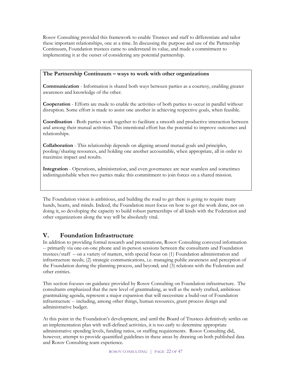Rosov Consulting provided this framework to enable Trustees and staff to differentiate and tailor these important relationships, one at a time. In discussing the purpose and use of the Partnership Continuum, Foundation trustees came to understand its value, and made a commitment to implementing it at the outset of considering any potential partnership.

### **The Partnership Continuum – ways to work with other organizations**

**Communication** - Information is shared both ways between parties as a courtesy, enabling greater awareness and knowledge of the other.

**Cooperation** - Efforts are made to enable the activities of both parties to occur in parallel without disruption. Some effort is made to assist one another in achieving respective goals, when feasible.

**Coordination** - Both parties work together to facilitate a smooth and productive interaction between and among their mutual activities. This intentional effort has the potential to improve outcomes and relationships.

**Collaboration** - This relationship depends on aligning around mutual goals and principles, pooling/sharing resources, and holding one another accountable, when appropriate, all in order to maximize impact and results.

**Integration** - Operations, administration, and even governance are near seamless and sometimes indistinguishable when two parties make this commitment to join forces on a shared mission.

The Foundation vision is ambitious, and building the road to get there is going to require many hands, hearts, and minds. Indeed, the Foundation must focus on how to get the work done, not on doing it, so developing the capacity to build robust partnerships of all kinds with the Federation and other organizations along the way will be absolutely vital.

### **V. Foundation Infrastructure**

In addition to providing formal research and presentations, Rosov Consulting conveyed information -- primarily via one-on-one phone and in-person sessions between the consultants and Foundation trustees/staff – on a variety of matters, with special focus on (1) Foundation administration and infrastructure needs; (2) strategic communications, i.e. managing public awareness and perception of the Foundation during the planning process, and beyond; and (3) relations with the Federation and other entities.

This section focuses on guidance provided by Rosov Consulting on Foundation infrastructure. The consultants emphasized that the new level of grantmaking, as well as the newly crafted, ambitious grantmaking agenda, represent a major expansion that will necessitate a build-out of Foundation infrastructure -- including, among other things, human resources, grant process design and administrative budget.

At this point in the Foundation's development, and until the Board of Trustees definitively settles on an implementation plan with well-defined activities, it is too early to determine appropriate administrative spending levels, funding ratios, or staffing requirements. Rosov Consulting did, however, attempt to provide quantified guidelines in these areas by drawing on both published data and Rosov Consulting team experience.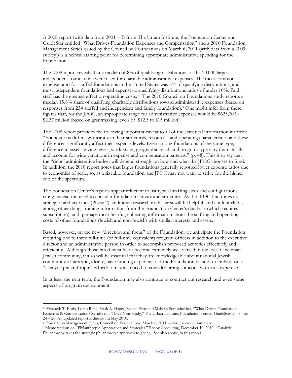A 2008 report (with data from  $2001 - 3$ ) from The Urban Institute, the Foundation Center and GuideStar entitled "What Drives Foundation Expenses and Compensation" and a 2010 Foundation Management Series issued by the Council on Foundations on March 6, 2011 (with data from a 2009 survey)) is a helpful starting point for determining appropriate administrative spending for the Foundation.

The 2008 report reveals that a median of 8% of qualifying distributions of the 10,000 largest independent foundations were used for charitable administrative expenses. The most common expense ratio for staffed foundations in the United States was 5% of qualifying distributions, and most independent foundations had expense-to-qualifying-distributions ratios of under 10%. Paid staff has the greatest effect on operating costs. 4 The 2010 Council on Foundations study reports a median 15.8% share of qualifying charitable distributions toward administrative expenses (based on responses from 234 staffed and independent and family foundation).5 One might infer from these figures that, for the JFOC, an appropriate range for administrative expenses would be \$625,000 - \$2.37 million (based on grantmaking levels of \$12.5 to \$15 million).

The 2008 report provides the following important caveat to all of the statistical information it offers: "Foundations differ significantly in their structures, resources, and operating characteristics and these differences significantly affect their expense levels. Even among foundations of the same type, difference in assets, giving levels, work styles, geographic reach and program type vary dramatically and account for wide variations in expense and compensation patterns." (p. 48). This is to say that the "right" administrative budget will depend strongly on how and what the JFOC chooses to fund. In addition, the 2010 report notes that larger foundations generally reported lower expense ratios due to economies of scale, so, as a sizeable foundation, the JFOC may not want to strive for the higher end of the spectrum.

The Foundation Center's reports appear reluctant to list typical staffing sizes and configurations, citing instead the need to consider foundation activity and structure. As the JFOC fine-tunes its strategies and activities (Phase 2), additional research in this area will be helpful, and could include, among other things, mining information from the Foundation Center's database (which requires a subscription), and, perhaps most helpful, collecting information about the staffing and operating costs of other foundations (Jewish and non-Jewish) with similar interests and assets.

Based, however, on the new "direction and focus" of the Foundation, we anticipate the Foundation requiring one to three full-time (or full-time equivalent) program officers in addition to the executive director and an administrative person in order to accomplish proposed activities effectively and efficiently. Although those hired must be or become extremely well versed in the local Cincinnati Jewish community, it also will be essential that they are knowledgeable about national Jewish community affairs and, ideally, have funding experience. If the Foundation decides to embark on a "catalytic philanthropic" effort,<sup>6</sup> it may also need to consider hiring someone with area expertise.

In at least the near term, the Foundation may also continue to contract out research and even some aspects of program development.

 $\overline{a}$ 

<sup>4</sup> Elizabeth T. Boris, Loren Renz, Mark A. Hager, Rachel Elias and Mahesh Somashekhar, "What Drives Foundation Expenses & Compensation? Results of a Three-Year Study," The Urban Institute, Foundation Center, GuideStar, 2008, pp. 24 – 26. An updated report is due out in May 2010.

<sup>5</sup> Foundation Management Series, Council on Foundations, March 6, 2011, online executive summary.

<sup>6</sup> Memorandum on "Philanthropic Approaches and Strategies," Rosov Consulting, December 10, 2010: "Catalytic Philanthropy takes the strategic philanthropic approach to giving. See also above, in this report.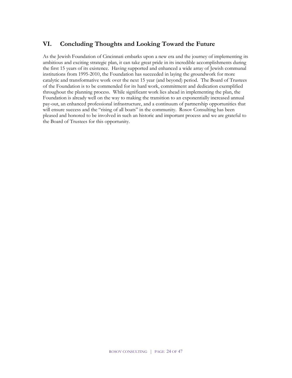### **VI. Concluding Thoughts and Looking Toward the Future**

As the Jewish Foundation of Cincinnati embarks upon a new era and the journey of implementing its ambitious and exciting strategic plan, it can take great pride in its incredible accomplishments during the first 15 years of its existence. Having supported and enhanced a wide array of Jewish communal institutions from 1995-2010, the Foundation has succeeded in laying the groundwork for more catalytic and transformative work over the next 15 year (and beyond) period. The Board of Trustees of the Foundation is to be commended for its hard work, commitment and dedication exemplified throughout the planning process. While significant work lies ahead in implementing the plan, the Foundation is already well on the way to making the transition to an exponentially increased annual pay-out, an enhanced professional infrastructure, and a continuum of partnership opportunities that will ensure success and the "rising of all boats" in the community. Rosov Consulting has been pleased and honored to be involved in such an historic and important process and we are grateful to the Board of Trustees for this opportunity.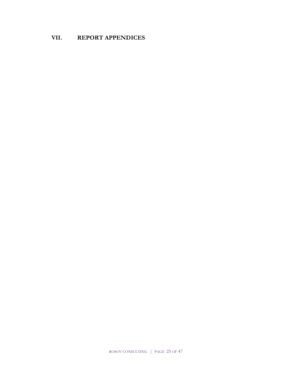### **VII. REPORT APPENDICES**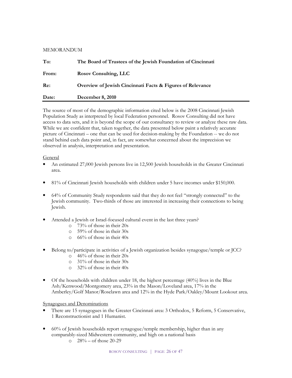### MEMORANDUM

| To:   | The Board of Trustees of the Jewish Foundation of Cincinnati |
|-------|--------------------------------------------------------------|
| From: | <b>Rosov Consulting, LLC</b>                                 |
| Re:   | Overview of Jewish Cincinnati Facts & Figures of Relevance   |
| Date: | December 8, 2010                                             |

The source of most of the demographic information cited below is the 2008 Cincinnati Jewish Population Study as interpreted by local Federation personnel. Rosov Consulting did not have access to data sets, and it is beyond the scope of our consultancy to review or analyze these raw data. While we are confident that, taken together, the data presented below paint a relatively accurate picture of Cincinnati – one that can be used for decision-making by the Foundation -- we do not stand behind each data point and, in fact, are somewhat concerned about the imprecision we observed in analysis, interpretation and presentation.

### General

- An estimated 27,000 Jewish persons live in 12,500 Jewish households in the Greater Cincinnati area.
- 81% of Cincinnati Jewish households with children under 5 have incomes under \$150,000.
- 64% of Community Study respondents said that they do not feel "strongly connected" to the Jewish community. Two-thirds of those are interested in increasing their connections to being Jewish.
- Attended a Jewish or Israel-focused cultural event in the last three years?
	- o 73% of those in their 20s
	- o 59% of those in their 30s
	- o 66% of those in their 40s
- Belong to/participate in activities of a Jewish organization besides synagogue/temple or JCC?
	- o 46% of those in their 20s
	- o 31% of those in their 30s
	- o 32% of those in their 40s
- Of the households with children under 18, the highest percentage  $(40\%)$  lives in the Blue Ash/Kenwood/Montgomery area, 23% in the Mason/Loveland area, 17% in the Amberley/Golf Manor/Roselawn area and 12% in the Hyde Park/Oakley/Mount Lookout area.

### Synagogues and Denominations

- There are 15 synagogues in the Greater Cincinnati area: 3 Orthodox, 5 Reform, 5 Conservative, 1 Reconstructionist and 1 Humanist.
- 60% of Jewish households report synagogue/temple membership, higher than in any comparably-sized Midwestern community, and high on a national basis
	- $\degree$  28% of those 20-29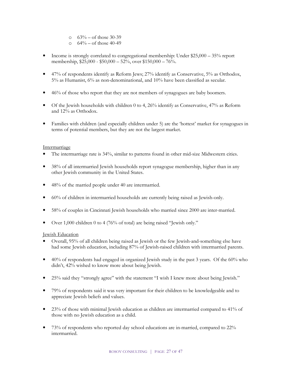- $\degree$  63% of those 30-39
- $\Omega$  64% of those 40-49
- Income is strongly correlated to congregational membership: Under \$25,000 35% report membership, \$25,000 - \$50,000 – 52%, over \$150,000 – 76%.
- 47% of respondents identify as Reform Jews; 27% identify as Conservative, 5% as Orthodox, 5% as Humanist, 6% as non-denominational, and 10% have been classified as secular.
- 46% of those who report that they are not members of synagogues are baby boomers.
- Of the Jewish households with children 0 to 4, 26% identify as Conservative,  $47\%$  as Reform and 12% as Orthodox.
- Families with children (and especially children under 5) are the 'hottest' market for synagogues in terms of potential members, but they are not the largest market.

### Intermarriage

- The intermarriage rate is 34%, similar to patterns found in other mid-size Midwestern cities.
- 38% of all intermarried Jewish households report synagogue membership, higher than in any other Jewish community in the United States.
- 48% of the married people under 40 are intermarried.
- 60% of children in intermarried households are currently being raised as Jewish-only.
- 58% of couples in Cincinnati Jewish households who married since 2000 are inter-married.
- Over 1,000 children 0 to 4 (76% of total) are being raised "Jewish only."

### Jewish Education

- Overall, 95% of all children being raised as Jewish or the few Jewish-and-something else have had some Jewish education, including 87% of Jewish-raised children with intermarried parents.
- 40% of respondents had engaged in organized Jewish study in the past 3 years. Of the 60% who didn't, 42% wished to know more about being Jewish.
- 25% said they "strongly agree" with the statement "I wish I knew more about being Jewish."
- 79% of respondents said it was very important for their children to be knowledgeable and to appreciate Jewish beliefs and values.
- 23% of those with minimal Jewish education as children are intermarried compared to 41% of those with no Jewish education as a child.
- 73% of respondents who reported day school educations are in-married, compared to 22% intermarried.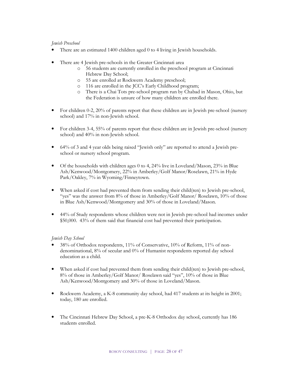### *Jewish Preschool*

- There are an estimated 1400 children aged 0 to 4 living in Jewish households.
- There are 4 Jewish pre-schools in the Greater Cincinnati area
	- o 56 students are currently enrolled in the preschool program at Cincinnati Hebrew Day School;
	- o 55 are enrolled at Rockwern Academy preschool;
	- o 116 are enrolled in the JCC's Early Childhood program;
	- o There is a Chai Tots pre-school program run by Chabad in Mason, Ohio, but the Federation is unsure of how many children are enrolled there.
- For children 0-2, 20% of parents report that these children are in Jewish pre-school (nursery school) and 17% in non-Jewish school.
- For children 3-4, 55% of parents report that these children are in Jewish pre-school (nursery school) and 40% in non-Jewish school.
- 64% of 3 and 4 year olds being raised "Jewish only" are reported to attend a Jewish preschool or nursery school program.
- Of the households with children ages 0 to 4,  $24\%$  live in Loveland/Mason,  $23\%$  in Blue Ash/Kenwood/Montgomery, 22% in Amberley/Golf Manor/Roselawn, 21% in Hyde Park/Oakley, 7% in Wyoming/Finneytown.
- When asked if cost had prevented them from sending their child(ren) to Jewish pre-school, "yes" was the answer from 8% of those in Amberley/Golf Manor/ Roselawn, 10% of those in Blue Ash/Kenwood/Montgomery and 30% of those in Loveland/Mason.
- 44% of Study respondents whose children were not in Jewish pre-school had incomes under \$50,000. 43% of them said that financial cost had prevented their participation.

### *Jewish Day School*

- 38% of Orthodox respondents, 11% of Conservative, 10% of Reform, 11% of nondenominational, 8% of secular and 0% of Humanist respondents reported day school education as a child.
- When asked if cost had prevented them from sending their child(ren) to Jewish pre-school, 8% of those in Amberley/Golf Manor/ Roselawn said "yes", 10% of those in Blue Ash/Kenwood/Montgomery and 30% of those in Loveland/Mason.
- Rockwern Academy, a K-8 community day school, had 417 students at its height in 2001; today, 180 are enrolled.
- The Cincinnati Hebrew Day School, a pre-K-8 Orthodox day school, currently has 186 students enrolled.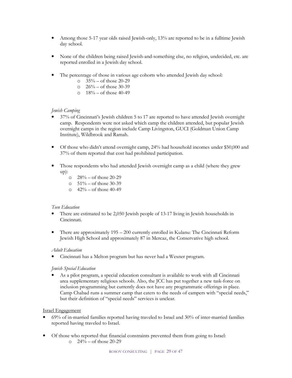- Among those 5-17 year olds raised Jewish-only, 13% are reported to be in a fulltime Jewish day school.
- None of the children being raised Jewish-and-something else, no religion, undecided, etc. are reported enrolled in a Jewish day school.
- The percentage of those in various age cohorts who attended Jewish day school:
	- $\degree$  35% of those 20-29
	- $\degree$  26% of those 30-39
	- $\degree$  18% of those 40-49

### *Jewish Camping*

- 37% of Cincinnati's Jewish children 5 to 17 are reported to have attended Jewish overnight camp. Respondents were not asked which camp the children attended, but popular Jewish overnight camps in the region include Camp Livingston, GUCI (Goldman Union Camp Institute), Wildbrook and Ramah.
- Of those who didn't attend overnight camp, 24% had household incomes under \$50,000 and 37% of them reported that cost had prohibited participation.
- Those respondents who had attended Jewish overnight camp as a child (where they grew up):
	- $\degree$  28% of those 20-29
	- $\degree$  51% of those 30-39
	- o 42% of those 40-49

### *Teen Education*

- There are estimated to be 2,050 Jewish people of 13-17 living in Jewish households in Cincinnati.
- There are approximately 195 200 currently enrolled in Kulanu: The Cincinnati Reform Jewish High School and approximately 87 in Mercaz, the Conservative high school.

### *Adult Education*

• Cincinnati has a Melton program but has never had a Wexner program.

### *Jewish Special Education*

• As a pilot program, a special education consultant is available to work with all Cincinnati area supplementary religious schools. Also, the JCC has put together a new task-force on inclusion programming but currently does not have any programmatic offerings in place. Camp Chabad runs a summer camp that caters to the needs of campers with "special needs," but their definition of "special needs" services is unclear.

### Israel Engagement

- 69% of in-married families reported having traveled to Israel and 30% of inter-married families reported having traveled to Israel.
- Of those who reported that financial constraints prevented them from going to Israel:
	- $\degree$  24% of those 20-29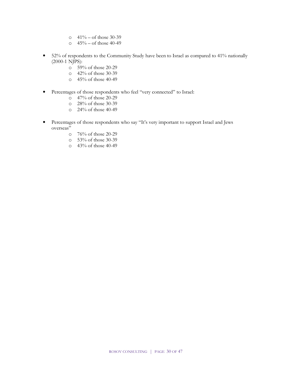- $\circ$  41% of those 30-39
- $\circ$  45% of those 40-49
- 52% of respondents to the Community Study have been to Israel as compared to 41% nationally (2000-1 NJPS):
	- o 59% of those 20-29
	- o 42% of those 30-39
	- o 45% of those 40-49
- Percentages of those respondents who feel "very connected" to Israel:
	- $\overline{Q}$  47% of those 20-29
	- o 28% of those 30-39
	- o 24% of those 40-49
- Percentages of those respondents who say "It's very important to support Israel and Jews overseas"
	- o 76% of those 20-29
	- o 53% of those 30-39
	- o 43% of those 40-49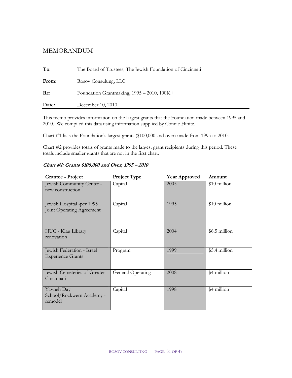### MEMORANDUM

| Date: | December 10, 2010                                          |
|-------|------------------------------------------------------------|
| Re:   | Foundation Grantmaking, 1995 - 2010, 100K+                 |
| From: | Rosov Consulting, LLC                                      |
| To:   | The Board of Trustees, The Jewish Foundation of Cincinnati |

This memo provides information on the largest grants that the Foundation made between 1995 and 2010. We compiled this data using information supplied by Connie Hinitz.

Chart #1 lists the Foundation's largest grants (\$100,000 and over) made from 1995 to 2010.

Chart #2 provides totals of grants made to the largest grant recipients during this period. These totals include smaller grants that are not in the first chart.

| <b>Grantee - Project</b>                               | <b>Project Type</b> | <b>Year Approved</b> | Amount        |
|--------------------------------------------------------|---------------------|----------------------|---------------|
| Jewish Community Center -<br>new construction          | Capital             | 2005                 | \$10 million  |
| Jewish Hospital -per 1995<br>Joint Operating Agreement | Capital             | 1995                 | \$10 million  |
| HUC - Klau Library<br>renovation                       | Capital             | 2004                 | \$6.5 million |
| Jewish Federation - Israel<br><b>Experience Grants</b> | Program             | 1999                 | \$5.4 million |
| Jewish Cemeteries of Greater<br>Cincinnati             | General Operating   | 2008                 | \$4 million   |
| Yavneh Day<br>School/Rockwern Academy -<br>remodel     | Capital             | 1998                 | \$4 million   |

**Chart #1: Grants \$100,000 and Over, 1995 – 2010**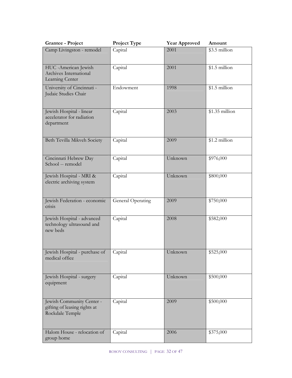| <b>Grantee - Project</b>                                                     | Project Type      | <b>Year Approved</b> | Amount                     |
|------------------------------------------------------------------------------|-------------------|----------------------|----------------------------|
| Camp Livingston - remodel                                                    | Capital           | 2001                 | $\overline{\$3.5}$ million |
| HUC -American Jewish<br>Archives International<br>Learning Center            | Capital           | 2001                 | \$1.5 million              |
| University of Cincinnati -<br>Judaic Studies Chair                           | Endowment         | 1998                 | $$1.5$ million             |
| Jewish Hospital - linear<br>accelerator for radiation<br>department          | Capital           | 2003                 | \$1.35 million             |
| Beth Tevilla Mikveh Society                                                  | Capital           | 2009                 | \$1.2 million              |
| Cincinnati Hebrew Day<br>School -- remodel                                   | Capital           | Unknown              | \$976,000                  |
| Jewish Hospital - MRI &<br>electric archiving system                         | Capital           | Unknown              | \$800,000                  |
| Jewish Federation - economic<br>crisis                                       | General Operating | 2009                 | \$750,000                  |
| Jewish Hospital - advanced<br>technology ultrasound and<br>new beds          | Capital           | 2008                 | \$582,000                  |
| Jewish Hospital - purchase of<br>medical office                              | Capital           | Unknown              | \$525,000                  |
| Jewish Hospital - surgery<br>equipment                                       | Capital           | Unknown              | \$500,000                  |
| Jewish Community Center -<br>gifting of leasing rights at<br>Rockdale Temple | Capital           | 2009                 | \$500,000                  |
| Halom House - relocation of<br>group home                                    | Capital           | 2006                 | \$375,000                  |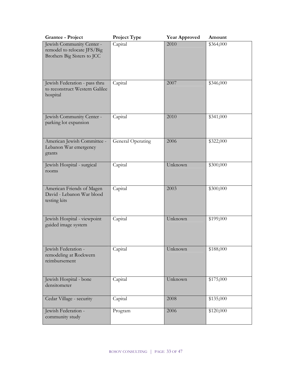| Grantee - Project                                                                       | Project Type      | <b>Year Approved</b> | Amount    |
|-----------------------------------------------------------------------------------------|-------------------|----------------------|-----------|
| Jewish Community Center -<br>remodel to relocate JFS/Big<br>Brothers Big Sisters to JCC | Capital           | 2010                 | \$364,000 |
| Jewish Federation - pass thru<br>to reconstruct Western Galilee<br>hospital             | Capital           | 2007                 | \$346,000 |
| Jewish Community Center -<br>parking lot expansion                                      | Capital           | 2010                 | \$341,000 |
| American Jewish Committee -<br>Lebanon War emergency<br>grants                          | General Operating | 2006                 | \$322,000 |
| Jewish Hospital - surgical<br>rooms                                                     | Capital           | Unknown              | \$300,000 |
| American Friends of Magen<br>David - Lebanon War blood<br>testing kits                  | Capital           | 2003                 | \$300,000 |
| Jewish Hospital - viewpoint<br>guided image system                                      | Capital           | Unknown              | \$199,000 |
| Jewish Federation -<br>remodeling at Rockwern<br>reimbursement                          | Capital           | Unknown              | \$188,000 |
| Jewish Hospital - bone<br>densitometer                                                  | Capital           | Unknown              | \$175,000 |
| Cedar Village - security                                                                | Capital           | 2008                 | \$135,000 |
| Jewish Federation -<br>community study                                                  | Program           | 2006                 | \$120,000 |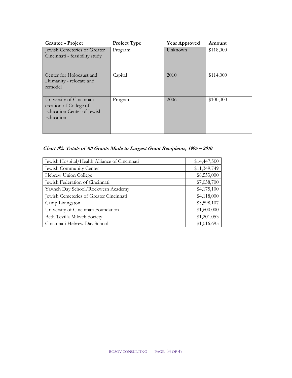| <b>Grantee - Project</b>                                                                        | Project Type | <b>Year Approved</b> | Amount    |
|-------------------------------------------------------------------------------------------------|--------------|----------------------|-----------|
| Jewish Cemeteries of Greater<br>Cincinnati - feasibility study                                  | Program      | Unknown              | \$118,000 |
| Center for Holocaust and<br>Humanity - relocate and<br>remodel                                  | Capital      | 2010                 | \$114,000 |
| University of Cincinnati -<br>creation of College of<br>Education Center of Jewish<br>Education | Program      | 2006                 | \$100,000 |

**Chart #2: Totals of All Grants Made to Largest Grant Recipients, 1995 – 2010** 

| Jewish Hospital/Health Alliance of Cincinnati | \$14,447,500 |
|-----------------------------------------------|--------------|
| Jewish Community Center                       | \$11,349,749 |
| Hebrew Union College                          | \$8,553,000  |
| Jewish Federation of Cincinnati               | \$7,038,700  |
| Yavneh Day School/Rockwern Academy            | \$4,175,100  |
| Jewish Cemeteries of Greater Cincinnati       | \$4,118,000  |
| Camp Livingston                               | \$3,598,107  |
| University of Cincinnati Foundation           | \$1,600,000  |
| Beth Tevilla Mikveh Society                   | \$1,201,053  |
| Cincinnati Hebrew Day School                  | \$1,016,695  |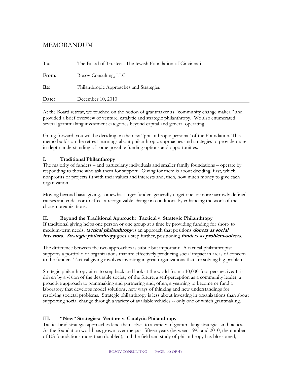### MEMORANDUM

| Date: | December 10, 2010                                          |
|-------|------------------------------------------------------------|
| Re:   | Philanthropic Approaches and Strategies                    |
| From: | Rosov Consulting, LLC                                      |
| To:   | The Board of Trustees, The Jewish Foundation of Cincinnati |

At the Board retreat, we touched on the notion of grantmaker as "community change maker," and provided a brief overview of venture, catalytic and strategic philanthropy. We also enumerated several grantmaking investment categories beyond capital and general operating.

Going forward, you will be deciding on the new "philanthropic persona" of the Foundation. This memo builds on the retreat learnings about philanthropic approaches and strategies to provide more in-depth understanding of some possible funding options and opportunities.

### **I. Traditional Philanthropy**

The majority of funders – and particularly individuals and smaller family foundations – operate by responding to those who ask them for support. Giving for them is about deciding, first, which nonprofits or projects fit with their values and interests and, then, how much money to give each organization.

Moving beyond basic giving, somewhat larger funders generally target one or more narrowly defined causes and endeavor to effect a recognizable change in conditions by enhancing the work of the chosen organizations.

### **II. Beyond the Traditional Approach: Tactical v. Strategic Philanthropy**

If traditional giving helps one person or one group at a time by providing funding for short- to medium-term needs, **tactical philanthropy** is an approach that positions **donors as social investors**. **Strategic philanthropy** goes a step further, positioning **funders as problem-solvers.** 

The difference between the two approaches is subtle but important: A tactical philanthropist supports a portfolio of organizations that are effectively producing social impact in areas of concern to the funder. Tactical giving involves investing in great organizations that are solving big problems.

Strategic philanthropy aims to step back and look at the world from a 10,000-foot perspective: It is driven by a vision of the desirable society of the future, a self-perception as a community leader, a proactive approach to grantmaking and partnering and, often, a yearning to become or fund a laboratory that develops model solutions, new ways of thinking and new understandings for resolving societal problems. Strategic philanthropy is less about investing in organizations than about supporting social change through a variety of available vehicles -- only one of which grantmaking.

### **III. "New" Strategies: Venture v. Catalytic Philanthropy**

Tactical and strategic approaches lend themselves to a variety of grantmaking strategies and tactics. As the foundation world has grown over the past fifteen years (between 1995 and 2010, the number of US foundations more than doubled), and the field and study of philanthropy has blossomed,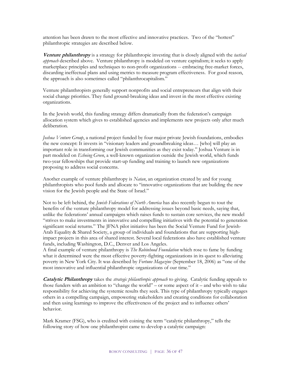attention has been drawn to the most effective and innovative practices. Two of the "hottest" philanthropic strategies are described below.

**Venture philanthropy** is a strategy for philanthropic investing that is closely aligned with the *tactical approach* described above. Venture philanthropy is modeled on venture capitalism; it seeks to apply marketplace principles and techniques to non-profit organizations -- embracing free-market forces, discarding ineffectual plans and using metrics to measure program effectiveness. For good reason, the approach is also sometimes called "philanthrocapitalism."

Venture philanthropists generally support nonprofits and social entrepreneurs that align with their social change priorities. They fund ground-breaking ideas and invest in the most effective existing organizations.

In the Jewish world, this funding strategy differs dramatically from the federation's campaign allocation system which gives to established agencies and implements new projects only after much deliberation.

*Joshua Venture Group*, a national project funded by four major private Jewish foundations, embodies the new concept: It invests in "visionary leaders and groundbreaking ideas… [who] will play an important role in transforming our Jewish communities as they exist today." Joshua Venture is in part modeled on *Echoing Green*, a well-known organization outside the Jewish world, which funds two-year fellowships that provide start-up funding and training to launch new organizations proposing to address social concerns.

Another example of venture philanthropy is *Natan*, an organization created by and for young philanthropists who pool funds and allocate to "innovative organizations that are building the new vision for the Jewish people and the State of Israel."

Not to be left behind, the *Jewish Federations of North America* has also recently begun to tout the benefits of the venture philanthropy model for addressing issues beyond basic needs, saying that, unlike the federations' annual campaigns which raises funds to sustain core services, the new model "strives to make investments in innovative and compelling initiatives with the potential to generation significant social returns." The JFNA pilot initiative has been the Social Venture Fund for Jewish-Arab Equality & Shared Society, a group of individuals and foundations that are supporting highimpact projects in this area of shared interest. Several local federations also have established venture funds, including Washington, D.C., Denver and Los Angeles.

A final example of venture philanthropy is *The Robinhood Foundation* which rose to fame by funding what it determined were the most effective poverty-fighting organizations in its quest to alleviating poverty in New York City. It was described by *Fortune Magazine* (September 18, 2006) as "one of the most innovative and influential philanthropic organizations of our time."

**Catalytic Philanthropy** takes the *strategic philanthropic approach* to giving. Catalytic funding appeals to those funders with an ambition to "change the world" – or some aspect of it – and who wish to take responsibility for achieving the systemic results they seek. This type of philanthropy typically engages others in a compelling campaign, empowering stakeholders and creating conditions for collaboration and then using learnings to improve the effectiveness of the project and to influence others' behavior.

Mark Kramer (FSG), who is credited with coining the term "catalytic philanthropy," tells the following story of how one philanthropist came to develop a catalytic campaign: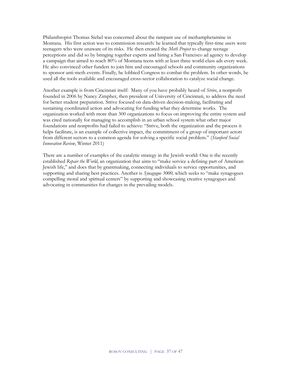Philanthropist Thomas Siebel was concerned about the rampant use of methamphetamine in Montana. His first action was to commission research: he learned that typically first-time users were teenagers who were unaware of its risks. He then created the *Meth Project* to change teenage perceptions and did so by bringing together experts and hiring a San Francisco ad agency to develop a campaign that aimed to reach 80% of Montana teens with at least three world-class ads every week. He also convinced other funders to join him and encouraged schools and community organizations to sponsor anti-meth events. Finally, he lobbied Congress to combat the problem. In other words, he used all the tools available and encouraged cross-sector collaboration to catalyze social change.

Another example is from Cincinnati itself: Many of you have probably heard of *Strive*, a nonprofit founded in 2006 by Nancy Zimpher, then president of University of Cincinnati, to address the need for better student preparation. Strive focused on data-driven decision-making, facilitating and sustaining coordinated action and advocating for funding what they determine works. The organization worked with more than 300 organizations to focus on improving the entire system and was cited nationally for managing to accomplish in an urban school system what other major foundations and nonprofits had failed to achieve: "Strive, both the organization and the process it helps facilitate, is an example of collective impact, the commitment of a group of important actors from different sectors to a common agenda for solving a specific social problem." (*Stanford Social Innovation Review*, Winter 2011)

There are a number of examples of the catalytic strategy in the Jewish world: One is the recently established *Repair the World*, an organization that aims to "make service a defining part of American Jewish life," and does that by grantmaking, connecting individuals to service opportunities, and supporting and sharing best practices. Another is *Synagogue 3000,* which seeks to "make synagogues compelling moral and spiritual centers" by supporting and showcasing creative synagogues and advocating in communities for changes in the prevailing models.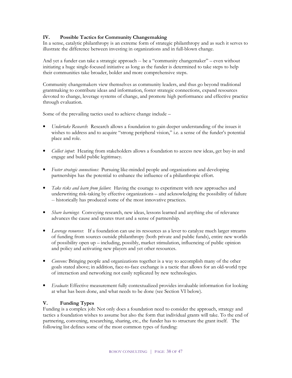### **IV. Possible Tactics for Community Changemaking**

In a sense, catalytic philanthropy is an extreme form of strategic philanthropy and as such it serves to illustrate the difference between investing in organizations and in full-blown change.

And yet a funder can take a strategic approach -- be a "community changemaker" – even without initiating a huge single-focused initiative as long as the funder is determined to take steps to help their communities take broader, bolder and more comprehensive steps.

Community changemakers view themselves as community leaders, and thus go beyond traditional grantmaking to contribute ideas and information, foster strategic connections, expand resources devoted to change, leverage systems of change, and promote high performance and effective practice through evaluation.

Some of the prevailing tactics used to achieve change include –

- *Undertake Research*: Research allows a foundation to gain deeper understanding of the issues it wishes to address and to acquire "strong peripheral vision," i.e. a sense of the funder's potential place and role.
- *Collect input*: Hearing from stakeholders allows a foundation to access new ideas, get buy-in and engage and build public legitimacy.
- *Foster strategic connections:* Pursuing like-minded people and organizations and developing partnerships has the potential to enhance the influence of a philanthropic effort.
- *Take risks and learn from failure*: Having the courage to experiment with new approaches and underwriting risk-taking by effective organizations – and acknowledging the possibility of failure -- historically has produced some of the most innovative practices.
- *Share learnings*: Conveying research, new ideas, lessons learned and anything else of relevance advances the cause and creates trust and a sense of partnership.
- *Leverage resources*: If a foundation can use its resources as a lever to catalyze much larger streams of funding from sources outside philanthropy (both private and public funds), entire new worlds of possibility open up – including, possibly, market stimulation, influencing of public opinion and policy and activating new players and yet other resources.
- *Convene:* Bringing people and organizations together is a way to accomplish many of the other goals stated above; in addition, face-to-face exchange is a tactic that allows for an old-world type of interaction and networking not easily replicated by new technologies.
- *Evaluate*: Effective measurement fully contextualized provides invaluable information for looking at what has been done, and what needs to be done (see Section VI below).

### **V. Funding Types**

Funding is a complex job: Not only does a foundation need to consider the approach, strategy and tactics a foundation wishes to assume but also the form that individual grants will take. To the end of partnering, convening, researching, sharing, etc., the funder has to structure the grant itself. The following list defines some of the most common types of funding: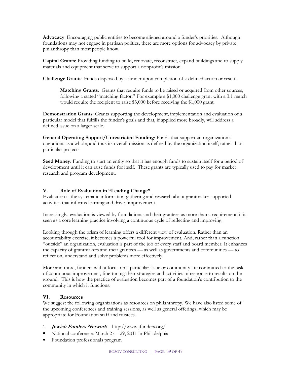**Advocacy**: Encouraging public entities to become aligned around a funder's priorities. Although foundations may not engage in partisan politics, there are more options for advocacy by private philanthropy than most people know.

**Capital Grants**: Providing funding to build, renovate, reconstruct, expand buildings and to supply materials and equipment that serve to support a nonprofit's mission.

**Challenge Grants**: Funds dispersed by a funder upon completion of a defined action or result.

**Matching Grants**: Grants that require funds to be raised or acquired from other sources, following a stated "matching factor." For example a \$1,000 challenge grant with a 3:1 match would require the recipient to raise \$3,000 before receiving the \$1,000 grant.

**Demonstration Grants**: Grants supporting the development, implementation and evaluation of a particular model that fulfills the funder's goals and that, if applied more broadly, will address a defined issue on a larger scale.

**General Operating Support/Unrestricted Funding**: Funds that support an organization's operations as a whole, and thus its overall mission as defined by the organization itself, rather than particular projects.

**Seed Money:** Funding to start an entity so that it has enough funds to sustain itself for a period of development until it can raise funds for itself. These grants are typically used to pay for market research and program development.

### **V. Role of Evaluation in "Leading Change"**

Evaluation is the systematic information gathering and research about grantmaker-supported activities that informs learning and drives improvement.

Increasingly, evaluation is viewed by foundations and their grantees as more than a requirement; it is seen as a core learning practice involving a continuous cycle of reflecting and improving.

Looking through the prism of learning offers a different view of evaluation. Rather than an accountability exercise, it becomes a powerful tool for improvement. And, rather than a function "outside" an organization, evaluation is part of the job of every staff and board member. It enhances the capacity of grantmakers and their grantees — as well as governments and communities — to reflect on, understand and solve problems more effectively.

More and more, funders with a focus on a particular issue or community are committed to the task of continuous improvement, fine-tuning their strategies and activities in response to results on the ground. This is how the practice of evaluation becomes part of a foundation's contribution to the community in which it functions.

### **VI. Resources**

We suggest the following organizations as resources on philanthropy. We have also listed some of the upcoming conferences and training sessions, as well as general offerings, which may be appropriate for Foundation staff and trustees.

- 1. **Jewish Funders Network** http://www.jfunders.org/
- National conference: March 27 29, 2011 in Philadelphia
- Foundation professionals program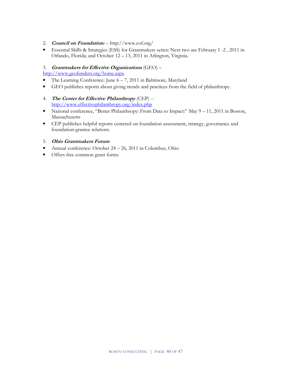- 2. **Council on Foundation***s* http://www.cof.org/
- Essential Skills & Strategies (ESS) for Grantmakers series: Next two are February 1 -2 , 2011 in Orlando, Florida; and October 12 – 13, 2011 in Arlington, Virginia.

### 3. **Grantmakers for Effective Organizations** (GEO) –

http://www.geofunders.org/home.aspx

- The Learning Conference: June  $6 7$ , 2011 in Baltimore, Maryland
- GEO publishes reports about giving trends and practices from the field of philanthropy.
- 4. **The Center for Effective Philanthropy** (CEP) http://www.effectivephilanthropy.org/index.php
- National conference, "Better Philanthropy: From Data to Impact:" May 9 11, 2011 in Boston, Massachusetts
- CEP publishes helpful reports centered on foundation assessment, strategy, governance and foundation-grantee relations.

### 5. **Ohio Grantmakers Forum**

- Annual conference: October 24 26, 2011 in Columbus, Ohio
- Offers free common grant forms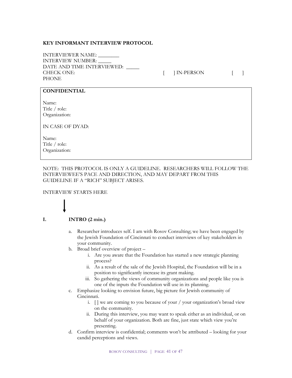### **KEY INFORMANT INTERVIEW PROTOCOL**

INTERVIEWER NAME: \_\_\_\_\_\_\_\_ INTERVIEW NUMBER: \_\_\_\_\_ DATE AND TIME INTERVIEWED: CHECK ONE:  $[ ]$  IN-PERSON  $[ ]$ PHONE

### **CONFIDENTIAL**

Name: Title / role: Organization:

IN CASE OF DYAD:

Name: Title / role: Organization:

NOTE: THIS PROTOCOL IS ONLY A GUIDELINE. RESEARCHERS WILL FOLLOW THE INTERVIEWEE'S PACE AND DIRECTION, AND MAY DEPART FROM THIS GUIDELINE IF A "RICH" SUBJECT ARISES.

### INTERVIEW STARTS HERE

### **I. INTRO (2 min.)**

- a. Researcher introduces self. I am with Rosov Consulting; we have been engaged by the Jewish Foundation of Cincinnati to conduct interviews of key stakeholders in your community.
- b. Broad brief overview of project
	- i. Are you aware that the Foundation has started a new strategic planning process?
	- ii. As a result of the sale of the Jewish Hospital, the Foundation will be in a position to significantly increase its grant making.
	- iii. So gathering the views of community organizations and people like you is one of the inputs the Foundation will use in its planning.
- c. Emphasize looking to envision future, big picture for Jewish community of Cincinnati.
	- i. [ ] we are coming to you because of your / your organization's broad view on the community.
	- ii. During this interview, you may want to speak either as an individual, or on behalf of your organization. Both are fine, just state which view you're presenting.
- d. Confirm interview is confidential; comments won't be attributed looking for your candid perceptions and views.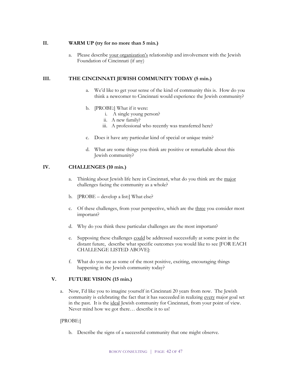### **II. WARM UP (try for no more than 5 min.)**

a. Please describe your organization's relationship and involvement with the Jewish Foundation of Cincinnati (if any)

### **III. THE CINCINNATI JEWISH COMMUNITY TODAY (5 min.)**

- a. We'd like to get your sense of the kind of community this is. How do you think a newcomer to Cincinnati would experience the Jewish community?
- b. [PROBE:] What if it were:
	- i. A single young person?
	- ii. A new family?
	- iii. A professional who recently was transferred here?
- c. Does it have any particular kind of special or unique traits?
- d. What are some things you think are positive or remarkable about this Jewish community?

### **IV. CHALLENGES (10 min.)**

- a. Thinking about Jewish life here in Cincinnati, what do you think are the major challenges facing the community as a whole?
- b. [PROBE develop a list:] What else?
- c. Of these challenges, from your perspective, which are the three you consider most important?
- d. Why do you think these particular challenges are the most important?
- e. Supposing these challenges could be addressed successfully at some point in the distant future, describe what specific outcomes you would like to see [FOR EACH CHALLENGE LISTED ABOVE]:
- f. What do you see as some of the most positive, exciting, encouraging things happening in the Jewish community today?

### **V. FUTURE VISION (15 min.)**

a. Now, I'd like you to imagine yourself in Cincinnati 20 years from now. The Jewish community is celebrating the fact that it has succeeded in realizing every major goal set in the past. It is the ideal Jewish community for Cincinnati, from your point of view. Never mind how we got there… describe it to us!

### [PROBE:]

b. Describe the signs of a successful community that one might observe.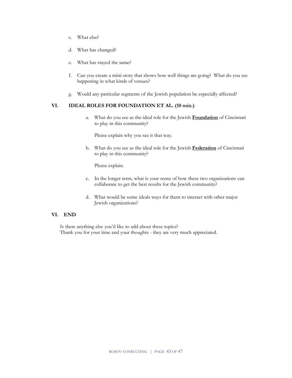- c. What else?
- d. What has changed?
- e. What has stayed the same?
- f. Can you create a mini-story that shows how well things are going? What do you see happening in what kinds of venues?
- g. Would any particular segments of the Jewish population be especially affected?

### **VI. IDEAL ROLES FOR FOUNDATION ET AL. (10 min.)**

a. What do you see as the ideal role for the Jewish **Foundation** of Cincinnati to play in this community?

Please explain why you see it that way.

b. What do you see as the ideal role for the Jewish **Federation** of Cincinnati to play in this community?

Please explain.

- c. In the longer term, what is your sense of how these two organizations can collaborate to get the best results for the Jewish community?
- d. What would be some ideals ways for them to interact with other major Jewish organizations?

### **VI. END**

Is there anything else you'd like to add about these topics? Thank you for your time and your thoughts - they are very much appreciated.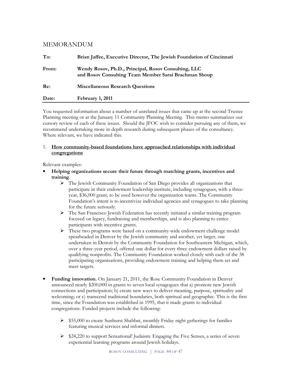### MEMORANDUM

| To:   | Brian Jaffee, Executive Director, The Jewish Foundation of Cincinnati                                         |
|-------|---------------------------------------------------------------------------------------------------------------|
| From: | Wendy Rosov, Ph.D., Principal, Rosov Consulting, LLC<br>and Rosov Consulting Team Member Sarai Brachman Shoup |
| Re:   | <b>Miscellaneous Research Questions</b>                                                                       |
| Date: | February 1, 2011                                                                                              |

You requested information about a number of unrelated issues that came up at the second Trustee Planning meeting or at the January 11 Community Planning Meeting. This memo summarizes our cursory review of each of these issues. Should the JFOC wish to consider pursuing any of them, we recommend undertaking more in depth research during subsequent phases of the consultancy. Where relevant, we have indicated this.

### 1. **How community-based foundations have approached relationships with individual congregations**

Relevant examples:

- **Helping organizations secure their future through matching grants, incentives and training**.
	- The Jewish Community Foundation of San Diego provides all organizations that participate in their endowment leadership institute, including synagogues, with a threeyear, \$36,000 grant, to be used however the organization wants. The Community Foundation's intent is to incentivize individual agencies and synagogues to take planning for the future seriously.
	- $\triangleright$  The San Francisco Jewish Federation has recently initiated a similar training program focused on legacy, fundraising and memberships, and is also planning to entice participants with incentive grants.
	- These two programs were based on a community-wide endowment challenge model spearheaded in Denver by the Jewish community and another, yet larger, one undertaken in Detroit by the Community Foundation for Southeastern Michigan, which, over a three-year period, offered one dollar for every three endowment dollars raised by qualifying nonprofits. The Community Foundation worked closely with each of the 38 participating organizations, providing endowment training and helping them set and meet targets.
- **Funding innovation.** On January 21, 2011, the Rose Community Foundation in Denver announced nearly \$200,000 in grants to seven local synagogues that a) promote new Jewish connections and participation; b) create new ways to deliver meaning, purpose, spirituality and welcoming; or c) transcend traditional boundaries, both spiritual and geographic. This is the first time, since the Foundation was established in 1995, that it made grants to individual congregations. Funded projects include the following:
	- $\triangleright$  \$55,000 to create Sunburst Shabbat, monthly Friday night gatherings for families featuring musical services and informal dinners.
	- $\triangleright$  \$24,220 to support Sensational! Judaism: Engaging the Five Senses, a series of seven experiential learning programs around Jewish holidays.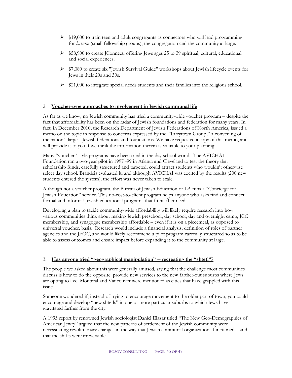- $\geq$  \$19,000 to train teen and adult congregants as connectors who will lead programming for *havurot* (small fellowship groups), the congregation and the community at large.
- $\triangleright$  \$58,900 to create JConnect, offering Jews ages 25 to 39 spiritual, cultural, educational and social experiences.
- $\triangleright$  \$7,080 to create six "Jewish Survival Guide" workshops about Jewish lifecycle events for Jews in their 20s and 30s.
- $\ge$  \$21,000 to integrate special needs students and their families into the religious school.

### 2. **Voucher-type approaches to involvement in Jewish communal life**

As far as we know, no Jewish community has tried a community-wide voucher program – despite the fact that affordability has been on the radar of Jewish foundations and federation for many years. In fact, in December 2010, the Research Department of Jewish Federations of North America, issued a memo on the topic in response to concerns expressed by the "Tarrytown Group," a convening of the nation's largest Jewish federations and foundations. We have requested a copy of this memo, and will provide it to you if we think the information therein is valuable to your planning.

Many "voucher"-style programs have been tried in the day school world. The AVICHAI Foundation ran a two-year pilot in 1997 -99 in Atlanta and Cleveland to test the theory that scholarship funds, carefully structured and targeted, could attract students who wouldn't otherwise select day school. Brandeis evaluated it, and although AVICHAI was excited by the results (200 new students entered the system), the effort was never taken to scale.

Although not a voucher program, the Bureau of Jewish Education of LA runs a "Concierge for Jewish Education" service. This no-cost-to-client program helps anyone who asks find and connect formal and informal Jewish educational programs that fit his/her needs.

Developing a plan to tackle community-wide affordability will likely require research into how various communities think about making Jewish preschool, day school, day and overnight camp, JCC membership, and synagogue membership affordable – even if it is on a piecemeal, as opposed to universal voucher, basis. Research would include a financial analysis, definition of roles of partner agencies and the JFOC, and would likely recommend a pilot program carefully structured so as to be able to assess outcomes and ensure impact before expanding it to the community at large.

### 3. **Has anyone tried "geographical manipulation" -- recreating the "shtetl"?**

The people we asked about this were generally amused, saying that the challenge most communities discuss is how to do the opposite: provide new services to the new farther-out suburbs where Jews are opting to live. Montreal and Vancouver were mentioned as cities that have grappled with this issue.

Someone wondered if, instead of trying to encourage movement to the older part of town, you could encourage and develop "new shtetls" in one or more particular suburbs to which Jews have gravitated farther from the city.

A 1993 report by renowned Jewish sociologist Daniel Elazar titled "The New Geo-Demographics of American Jewry" argued that the new patterns of settlement of the Jewish community were necessitating revolutionary changes in the way that Jewish communal organizations functioned – and that the shifts were irreversible.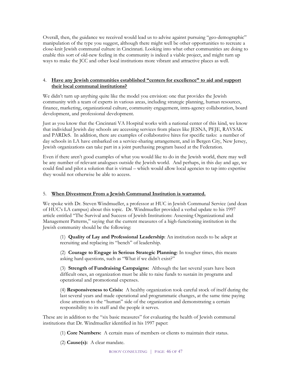Overall, then, the guidance we received would lead us to advise against pursuing "geo-demographic" manipulation of the type you suggest, although there might well be other opportunities to recreate a close-knit Jewish communal culture in Cincinnati. Looking into what other communities are doing to enable this sort of old-new feeling in the community is indeed a viable project, and might turn up ways to make the JCC and other local institutions more vibrant and attractive places as well.

### 4. **Have any Jewish communities established "centers for excellence" to aid and support their local communal institutions?**

We didn't turn up anything quite like the model you envision: one that provides the Jewish community with a team of experts in various areas, including strategic planning, human resources, finance, marketing, organizational culture, community engagement, intra-agency collaboration, board development, and professional development.

Just as you know that the Cincinnati VA Hospital works with a national center of this kind, we know that individual Jewish day schools are accessing services from places like JESNA, PEJE, RAVSAK and PARDeS. In addition, there are examples of collaborative hires for specific tasks: a number of day schools in LA have embarked on a service-sharing arrangement, and in Bergen City, New Jersey, Jewish organizations can take part in a joint purchasing program based at the Federation.

Even if there aren't good examples of what you would like to do in the Jewish world, there may well be any number of relevant analogues outside the Jewish world. And perhaps, in this day and age, we could find and pilot a solution that is virtual – which would allow local agencies to tap into expertise they would not otherwise be able to access.

### 5. **When Divestment From a Jewish Communal Institution is warranted.**

We spoke with Dr. Steven Windmueller, a professor at HUC in Jewish Communal Service (and dean of HUC's LA campus) about this topic. Dr. Windmueller provided a verbal update to his 1997 article entitled "The Survival and Success of Jewish Institutions: Assessing Organizational and Management Patterns," saying that the current measures of a high-functioning institution in the Jewish community should be the following:

(1) **Quality of Lay and Professional Leadership**: An institution needs to be adept at recruiting and replacing its "bench" of leadership.

(2) **Courage to Engage in Serious Strategic Planning**: In tougher times, this means asking hard questions, such as "What if we didn't exist?"

(3) **Strength of Fundraising Campaigns:** Although the last several years have been difficult ones, an organization must be able to raise funds to sustain its programs and operational and promotional expenses.

(4) **Responsiveness to Crisis:** A healthy organization took careful stock of itself during the last several years and made operational and programmatic changes, at the same time paying close attention to the "human" side of the organization and demonstrating a certain responsibility to its staff and the people it serves.

These are in addition to the "six basic measures" for evaluating the health of Jewish communal institutions that Dr. Windmueller identified in his 1997 paper:

(1) **Core Numbers:** A certain mass of members or clients to maintain their status.

(2) **Cause(s):** A clear mandate.